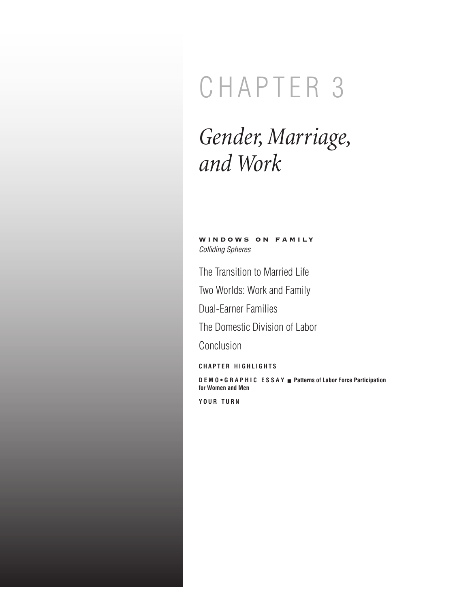# CHAPTER 3

# *Gender, Marriage, and Work*

WINDOWS ON FAMILY *Colliding Spheres*

The Transition to Married Life

Two Worlds: Work and Family

Dual-Earner Families

The Domestic Division of Labor

**Conclusion** 

**CHAPTER HIGHLIGHTS**

**D E M O • G R A P H I C E S S A Y** ■ **Patterns of Labor Force Participation for Women and Men**

**YOUR TURN**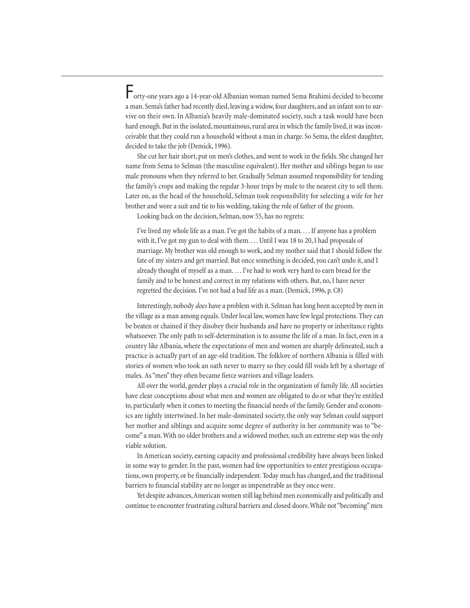*F*orty-one years ago a 14-year-old Albanian woman named Sema Brahimi decided to become a man. Sema's father had recently died, leaving a widow, four daughters, and an infant son to survive on their own. In Albania's heavily male-dominated society, such a task would have been hard enough. But in the isolated, mountainous, rural area in which the family lived, it was inconceivable that they could run a household without a man in charge. So Sema, the eldest daughter, decided to take the job (Demick, 1996).

She cut her hair short, put on men's clothes, and went to work in the fields. She changed her name from Sema to Selman (the masculine equivalent). Her mother and siblings began to use male pronouns when they referred to her. Gradually Selman assumed responsibility for tending the family's crops and making the regular 3-hour trips by mule to the nearest city to sell them. Later on, as the head of the household, Selman took responsibility for selecting a wife for her brother and wore a suit and tie to his wedding, taking the role of father of the groom.

Looking back on the decision, Selman, now 55, has no regrets:

**202** P A R T I I ■ Sociological Dimensions of Family Life

I've lived my whole life as a man. I've got the habits of a man. . . . If anyone has a problem with it, I've got my gun to deal with them.... Until I was 18 to 20, I had proposals of marriage. My brother was old enough to work, and my mother said that I should follow the fate of my sisters and get married. But once something is decided, you can't undo it, and I already thought of myself as a man. . . . I've had to work very hard to earn bread for the family and to be honest and correct in my relations with others. But, no, I have never regretted the decision. I've not had a bad life as a man. (Demick, 1996, p. C8)

Interestingly, nobody *does* have a problem with it. Selman has long been accepted by men in the village as a man among equals. Under local law, women have few legal protections. They can be beaten or chained if they disobey their husbands and have no property or inheritance rights whatsoever. The only path to self-determination is to assume the life of a man. In fact, even in a country like Albania, where the expectations of men and women are sharply delineated, such a practice is actually part of an age-old tradition. The folklore of northern Albania is filled with stories of women who took an oath never to marry so they could fill voids left by a shortage of males. As "men" they often became fierce warriors and village leaders.

All over the world, gender plays a crucial role in the organization of family life. All societies have clear conceptions about what men and women are obligated to do or what they're entitled to, particularly when it comes to meeting the financial needs of the family. Gender and economics are tightly intertwined. In her male-dominated society, the only way Selman could support her mother and siblings and acquire some degree of authority in her community was to "become" a man. With no older brothers and a widowed mother, such an extreme step was the only viable solution.

In American society, earning capacity and professional credibility have always been linked in some way to gender. In the past, women had few opportunities to enter prestigious occupations, own property, or be financially independent. Today much has changed, and the traditional barriers to financial stability are no longer as impenetrable as they once were.

Yet despite advances, American women still lag behind men economically and politically and continue to encounter frustrating cultural barriers and closed doors. While not "becoming" men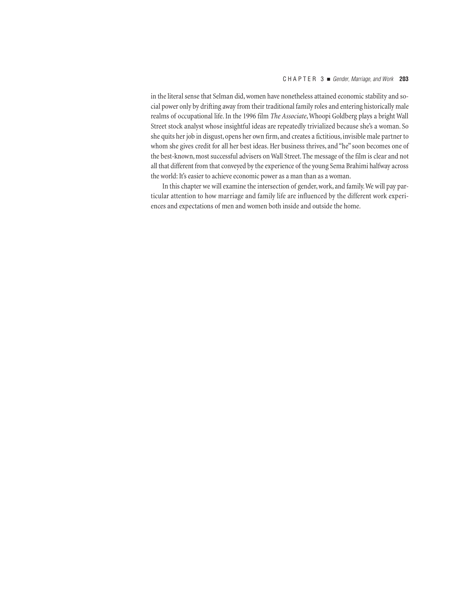in the literal sense that Selman did, women have nonetheless attained economic stability and social power only by drifting away from their traditional family roles and entering historically male realms of occupational life. In the 1996 film *The Associate*, Whoopi Goldberg plays a bright Wall Street stock analyst whose insightful ideas are repeatedly trivialized because she's a woman. So she quits her job in disgust, opens her own firm, and creates a fictitious, invisible male partner to whom she gives credit for all her best ideas. Her business thrives, and "he" soon becomes one of the best-known, most successful advisers on Wall Street. The message of the film is clear and not all that different from that conveyed by the experience of the young Sema Brahimi halfway across the world: It's easier to achieve economic power as a man than as a woman.

In this chapter we will examine the intersection of gender, work, and family. We will pay particular attention to how marriage and family life are influenced by the different work experiences and expectations of men and women both inside and outside the home.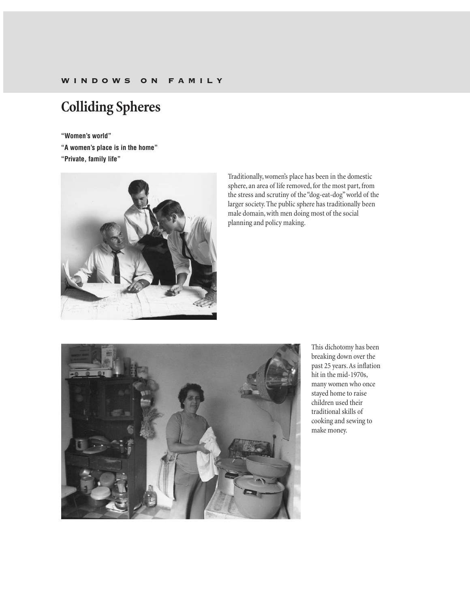# WINDOWS ON FAMILY

# **Colliding Spheres**

**"Women's world"**

**"A women's place is in the home" "Private, family life"**



Traditionally, women's place has been in the domestic sphere, an area of life removed, for the most part, from the stress and scrutiny of the "dog-eat-dog" world of the larger society. The public sphere has traditionally been male domain, with men doing most of the social planning and policy making.



This dichotomy has been breaking down over the past 25 years. As inflation hit in the mid-1970s, many women who once stayed home to raise children used their traditional skills of cooking and sewing to make money.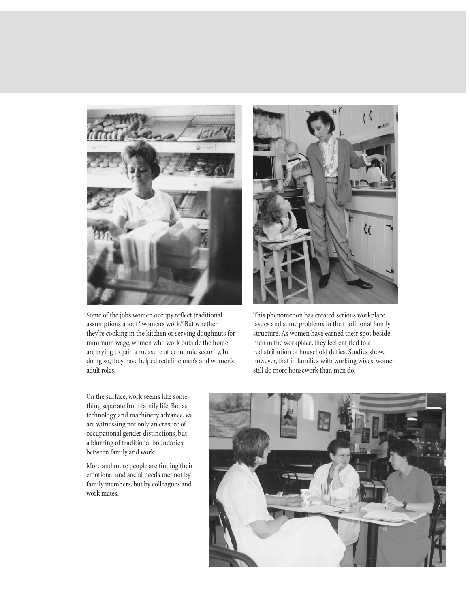

Some of the jobs women occupy reflect traditional assumptions about "women's work." But whether they're cooking in the kitchen or serving doughnuts for minimum wage, women who work outside the home are trying to gain a measure of economic security. In doing so, they have helped redefine men's and women's adult roles.



This phenomenon has created serious workplace issues and some problems in the traditional family structure. As women have earned their spot beside men in the workplace, they feel entitled to a redistribution of household duties. Studies show, however, that in families with working wives, women still do more housework than men do.

On the surface, work seems like something separate from family life. But as technology and machinery advance, we are witnessing not only an erasure of occupational gender distinctions, but a blurring of traditional boundaries between family and work.

More and more people are finding their emotional and social needs met not by family members, but by colleagues and work mates.

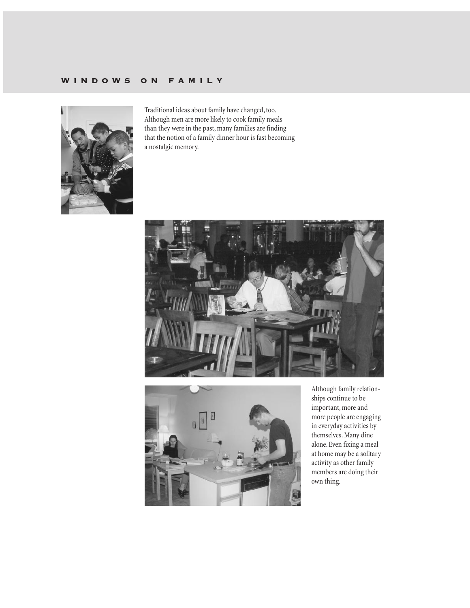

Traditional ideas about family have changed, too. Although men are more likely to cook family meals than they were in the past, many families are finding that the notion of a family dinner hour is fast becoming a nostalgic memory.





Although family relationships continue to be important, more and more people are engaging in everyday activities by themselves. Many dine alone. Even fixing a meal at home may be a solitary activity as other family members are doing their own thing.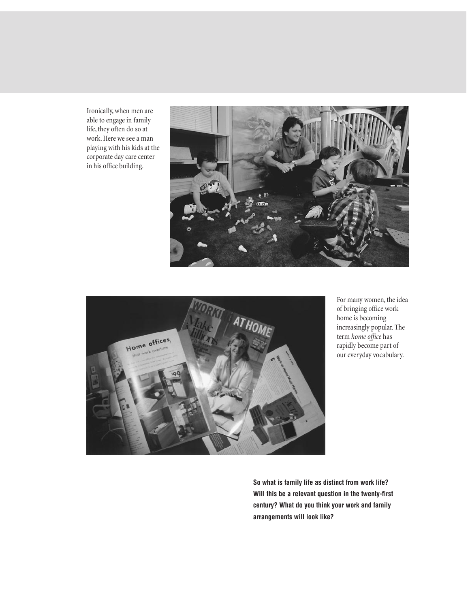Ironically, when men are able to engage in family life, they often do so at work. Here we see a man playing with his kids at the corporate day care center in his office building.





For many women, the idea of bringing office work home is becoming increasingly popular. The term *home office* has rapidly become part of our everyday vocabulary.

**So what is family life as distinct from work life? Will this be a relevant question in the twenty-first century? What do you think your work and family arrangements will look like?**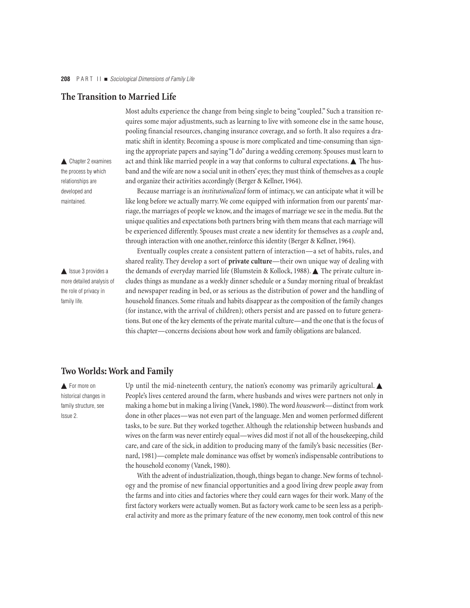## **The Transition to Married Life**

Most adults experience the change from being single to being "coupled." Such a transition requires some major adjustments, such as learning to live with someone else in the same house, pooling financial resources, changing insurance coverage, and so forth. It also requires a dramatic shift in identity. Becoming a spouse is more complicated and time-consuming than signing the appropriate papers and saying "I do" during a wedding ceremony. Spouses must learn to act and think like married people in a way that conforms to cultural expectations. ▲ The husband and the wife are now a social unit in others' eyes; they must think of themselves as a couple and organize their activities accordingly (Berger & Kellner, 1964).

Because marriage is an *institutionalized* form of intimacy, we can anticipate what it will be like long before we actually marry. We come equipped with information from our parents' marriage, the marriages of people we know, and the images of marriage we see in the media. But the unique qualities and expectations both partners bring with them means that each marriage will be experienced differently. Spouses must create a new identity for themselves as a *couple* and, through interaction with one another, reinforce this identity (Berger & Kellner, 1964).

▲ Issue 3 provides a more detailed analysis of the role of privacy in family life.

▲ Chapter 2 examines the process by which relationships are developed and maintained.

> Eventually couples create a consistent pattern of interaction—a set of habits, rules, and shared reality. They develop a sort of **private culture**—their own unique way of dealing with the demands of everyday married life (Blumstein & Kollock, 1988). ▲ The private culture includes things as mundane as a weekly dinner schedule or a Sunday morning ritual of breakfast and newspaper reading in bed, or as serious as the distribution of power and the handling of household finances. Some rituals and habits disappear as the composition of the family changes (for instance, with the arrival of children); others persist and are passed on to future generations. But one of the key elements of the private marital culture—and the one that is the focus of this chapter—concerns decisions about how work and family obligations are balanced.

# **Two Worlds: Work and Family**

▲ For more on historical changes in family structure, see Issue 2.

Up until the mid-nineteenth century, the nation's economy was primarily agricultural.  $\blacktriangle$ People's lives centered around the farm, where husbands and wives were partners not only in making a home but in making a living (Vanek, 1980). The word *housework*—distinct from work done in other places—was not even part of the language. Men and women performed different tasks, to be sure. But they worked together. Although the relationship between husbands and wives on the farm was never entirely equal—wives did most if not all of the housekeeping, child care, and care of the sick, in addition to producing many of the family's basic necessities (Bernard, 1981)—complete male dominance was offset by women's indispensable contributions to the household economy (Vanek, 1980).

With the advent of industrialization, though, things began to change. New forms of technology and the promise of new financial opportunities and a good living drew people away from the farms and into cities and factories where they could earn wages for their work. Many of the first factory workers were actually women. But as factory work came to be seen less as a peripheral activity and more as the primary feature of the new economy, men took control of this new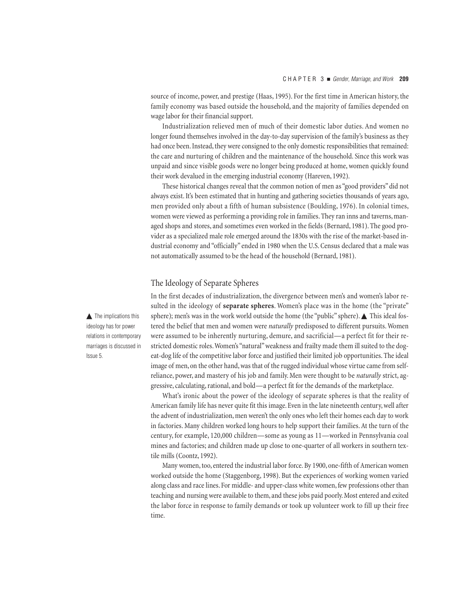source of income, power, and prestige (Haas, 1995). For the first time in American history, the family economy was based outside the household, and the majority of families depended on wage labor for their financial support.

Industrialization relieved men of much of their domestic labor duties. And women no longer found themselves involved in the day-to-day supervision of the family's business as they had once been. Instead, they were consigned to the only domestic responsibilities that remained: the care and nurturing of children and the maintenance of the household. Since this work was unpaid and since visible goods were no longer being produced at home, women quickly found their work devalued in the emerging industrial economy (Hareven, 1992).

These historical changes reveal that the common notion of men as "good providers" did not always exist. It's been estimated that in hunting and gathering societies thousands of years ago, men provided only about a fifth of human subsistence (Boulding, 1976). In colonial times, women were viewed as performing a providing role in families. They ran inns and taverns, managed shops and stores, and sometimes even worked in the fields (Bernard, 1981). The good provider as a specialized male role emerged around the 1830s with the rise of the market-based industrial economy and "officially" ended in 1980 when the U.S. Census declared that a male was not automatically assumed to be the head of the household (Bernard, 1981).

# The Ideology of Separate Spheres

In the first decades of industrialization, the divergence between men's and women's labor resulted in the ideology of **separate spheres**. Women's place was in the home (the "private" sphere); men's was in the work world outside the home (the "public" sphere).  $\blacktriangle$  This ideal fostered the belief that men and women were *naturally* predisposed to different pursuits. Women were assumed to be inherently nurturing, demure, and sacrificial—a perfect fit for their restricted domestic roles. Women's "natural" weakness and frailty made them ill suited to the dogeat-dog life of the competitive labor force and justified their limited job opportunities. The ideal image of men, on the other hand, was that of the rugged individual whose virtue came from selfreliance, power, and mastery of his job and family. Men were thought to be *naturally* strict, aggressive, calculating, rational, and bold—a perfect fit for the demands of the marketplace.

What's ironic about the power of the ideology of separate spheres is that the reality of American family life has never quite fit this image. Even in the late nineteenth century, well after the advent of industrialization, men weren't the only ones who left their homes each day to work in factories. Many children worked long hours to help support their families. At the turn of the century, for example, 120,000 children—some as young as 11—worked in Pennsylvania coal mines and factories; and children made up close to one-quarter of all workers in southern textile mills (Coontz, 1992).

Many women, too, entered the industrial labor force. By 1900, one-fifth of American women worked outside the home (Staggenborg, 1998). But the experiences of working women varied along class and race lines. For middle- and upper-class white women, few professions other than teaching and nursing were available to them, and these jobs paid poorly. Most entered and exited the labor force in response to family demands or took up volunteer work to fill up their free time.

 $\blacktriangle$  The implications this ideology has for power relations in contemporary marriages is discussed in Issue 5.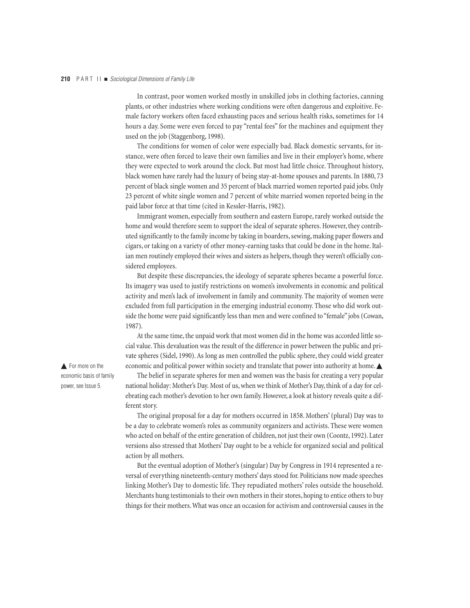In contrast, poor women worked mostly in unskilled jobs in clothing factories, canning plants, or other industries where working conditions were often dangerous and exploitive. Female factory workers often faced exhausting paces and serious health risks, sometimes for 14 hours a day. Some were even forced to pay "rental fees" for the machines and equipment they used on the job (Staggenborg, 1998).

The conditions for women of color were especially bad. Black domestic servants, for instance, were often forced to leave their own families and live in their employer's home, where they were expected to work around the clock. But most had little choice. Throughout history, black women have rarely had the luxury of being stay-at-home spouses and parents. In 1880, 73 percent of black single women and 35 percent of black married women reported paid jobs. Only 23 percent of white single women and 7 percent of white married women reported being in the paid labor force at that time (cited in Kessler-Harris, 1982).

Immigrant women, especially from southern and eastern Europe, rarely worked outside the home and would therefore seem to support the ideal of separate spheres. However, they contributed significantly to the family income by taking in boarders, sewing, making paper flowers and cigars, or taking on a variety of other money-earning tasks that could be done in the home. Italian men routinely employed their wives and sisters as helpers, though they weren't officially considered employees.

But despite these discrepancies, the ideology of separate spheres became a powerful force. Its imagery was used to justify restrictions on women's involvements in economic and political activity and men's lack of involvement in family and community. The majority of women were excluded from full participation in the emerging industrial economy. Those who did work outside the home were paid significantly less than men and were confined to "female" jobs (Cowan, 1987).

At the same time, the unpaid work that most women did in the home was accorded little social value. This devaluation was the result of the difference in power between the public and private spheres (Sidel, 1990). As long as men controlled the public sphere, they could wield greater economic and political power within society and translate that power into authority at home. ▲

The belief in separate spheres for men and women was the basis for creating a very popular national holiday: Mother's Day. Most of us, when we think of Mother's Day, think of a day for celebrating each mother's devotion to her own family. However, a look at history reveals quite a different story.

The original proposal for a day for mothers occurred in 1858. Mothers' (plural) Day was to be a day to celebrate women's roles as community organizers and activists. These were women who acted on behalf of the entire generation of children, not just their own (Coontz, 1992). Later versions also stressed that Mothers' Day ought to be a vehicle for organized social and political action by all mothers.

But the eventual adoption of Mother's (singular) Day by Congress in 1914 represented a reversal of everything nineteenth-century mothers' days stood for. Politicians now made speeches linking Mother's Day to domestic life. They repudiated mothers' roles outside the household. Merchants hung testimonials to their own mothers in their stores, hoping to entice others to buy things for their mothers. What was once an occasion for activism and controversial causes in the

▲ For more on the economic basis of family power, see Issue 5.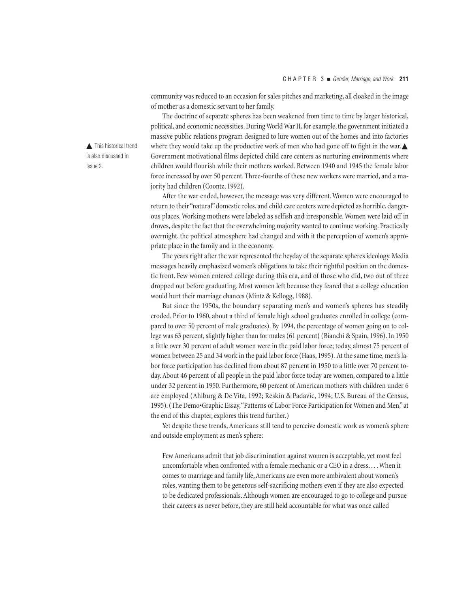community was reduced to an occasion for sales pitches and marketing, all cloaked in the image of mother as a domestic servant to her family.

The doctrine of separate spheres has been weakened from time to time by larger historical, political, and economic necessities. During World War II, for example, the government initiated a massive public relations program designed to lure women out of the homes and into factories where they would take up the productive work of men who had gone off to fight in the war.  $\blacktriangle$ Government motivational films depicted child care centers as nurturing environments where children would flourish while their mothers worked. Between 1940 and 1945 the female labor force increased by over 50 percent. Three-fourths of these new workers were married, and a majority had children (Coontz, 1992).

After the war ended, however, the message was very different. Women were encouraged to return to their "natural" domestic roles, and child care centers were depicted as horrible, dangerous places. Working mothers were labeled as selfish and irresponsible. Women were laid off in droves, despite the fact that the overwhelming majority wanted to continue working. Practically overnight, the political atmosphere had changed and with it the perception of women's appropriate place in the family and in the economy.

The years right after the war represented the heyday of the separate spheres ideology. Media messages heavily emphasized women's obligations to take their rightful position on the domestic front. Few women entered college during this era, and of those who did, two out of three dropped out before graduating. Most women left because they feared that a college education would hurt their marriage chances (Mintz & Kellogg, 1988).

But since the 1950s, the boundary separating men's and women's spheres has steadily eroded. Prior to 1960, about a third of female high school graduates enrolled in college (compared to over 50 percent of male graduates). By 1994, the percentage of women going on to college was 63 percent, slightly higher than for males (61 percent) (Bianchi & Spain, 1996). In 1950 a little over 30 percent of adult women were in the paid labor force; today, almost 75 percent of women between 25 and 34 work in the paid labor force (Haas, 1995). At the same time, men's labor force participation has declined from about 87 percent in 1950 to a little over 70 percent today. About 46 percent of all people in the paid labor force today are women, compared to a little under 32 percent in 1950. Furthermore, 60 percent of American mothers with children under 6 are employed (Ahlburg & De Vita, 1992; Reskin & Padavic, 1994; U.S. Bureau of the Census, 1995). (The Demo•Graphic Essay, "Patterns of Labor Force Participation for Women and Men," at the end of this chapter, explores this trend further.)

Yet despite these trends, Americans still tend to perceive domestic work as women's sphere and outside employment as men's sphere:

Few Americans admit that job discrimination against women is acceptable, yet most feel uncomfortable when confronted with a female mechanic or a CEO in a dress. . . . When it comes to marriage and family life, Americans are even more ambivalent about women's roles, wanting them to be generous self-sacrificing mothers even if they are also expected to be dedicated professionals. Although women are encouraged to go to college and pursue their careers as never before, they are still held accountable for what was once called

▲ This historical trend is also discussed in Issue␣ 2.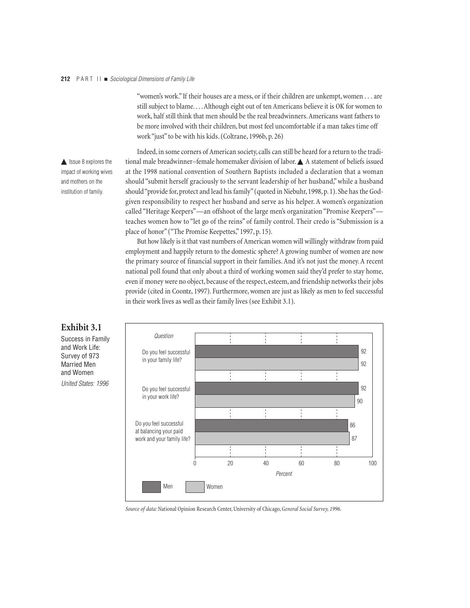"women's work." If their houses are a mess, or if their children are unkempt, women . . . are still subject to blame. . . . Although eight out of ten Americans believe it is OK for women to work, half still think that men should be the real breadwinners. Americans want fathers to be more involved with their children, but most feel uncomfortable if a man takes time off work "just" to be with his kids. (Coltrane, 1996b, p. 26)

▲ Issue 8 explores the impact of working wives and mothers on the institution of family.

Indeed, in some corners of American society, calls can still be heard for a return to the traditional male breadwinner–female homemaker division of labor. ▲ A statement of beliefs issued at the 1998 national convention of Southern Baptists included a declaration that a woman should "submit herself graciously to the servant leadership of her husband," while a husband should "provide for, protect and lead his family" (quoted in Niebuhr, 1998, p. 1). She has the Godgiven responsibility to respect her husband and serve as his helper. A women's organization called "Heritage Keepers"—an offshoot of the large men's organization "Promise Keepers" teaches women how to "let go of the reins" of family control. Their credo is "Submission is a place of honor" ("The Promise Keepettes," 1997, p. 15).

But how likely is it that vast numbers of American women will willingly withdraw from paid employment and happily return to the domestic sphere? A growing number of women are now the primary source of financial support in their families. And it's not just the money. A recent national poll found that only about a third of working women said they'd prefer to stay home, even if money were no object, because of the respect, esteem, and friendship networks their jobs provide (cited in Coontz, 1997). Furthermore, women are just as likely as men to feel successful in their work lives as well as their family lives (see Exhibit 3.1).



*Source of data:* National Opinion Research Center, University of Chicago, *General Social Survey, 1996.*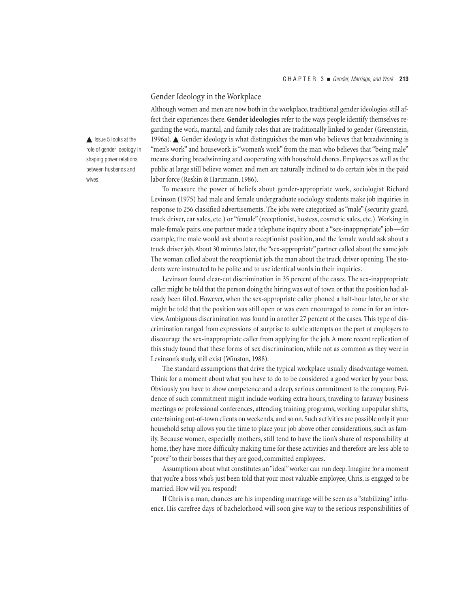# Gender Ideology in the Workplace

Although women and men are now both in the workplace, traditional gender ideologies still affect their experiences there. **Gender ideologies** refer to the ways people identify themselves regarding the work, marital, and family roles that are traditionally linked to gender (Greenstein, 1996a). ▲ Gender ideology is what distinguishes the man who believes that breadwinning is "men's work" and housework is "women's work" from the man who believes that "being male" means sharing breadwinning and cooperating with household chores. Employers as well as the public at large still believe women and men are naturally inclined to do certain jobs in the paid labor force (Reskin & Hartmann, 1986).

To measure the power of beliefs about gender-appropriate work, sociologist Richard Levinson (1975) had male and female undergraduate sociology students make job inquiries in response to 256 classified advertisements. The jobs were categorized as "male" (security guard, truck driver, car sales, etc.) or "female" (receptionist, hostess, cosmetic sales, etc.). Working in male-female pairs, one partner made a telephone inquiry about a "sex-inappropriate" job—for example, the male would ask about a receptionist position, and the female would ask about a truck driver job. About 30 minutes later, the "sex-appropriate" partner called about the same job: The woman called about the receptionist job, the man about the truck driver opening. The students were instructed to be polite and to use identical words in their inquiries.

Levinson found clear-cut discrimination in 35 percent of the cases. The sex-inappropriate caller might be told that the person doing the hiring was out of town or that the position had already been filled. However, when the sex-appropriate caller phoned a half-hour later, he or she might be told that the position was still open or was even encouraged to come in for an interview. Ambiguous discrimination was found in another 27 percent of the cases. This type of discrimination ranged from expressions of surprise to subtle attempts on the part of employers to discourage the sex-inappropriate caller from applying for the job. A more recent replication of this study found that these forms of sex discrimination, while not as common as they were in Levinson's study, still exist (Winston, 1988).

The standard assumptions that drive the typical workplace usually disadvantage women. Think for a moment about what you have to do to be considered a good worker by your boss. Obviously you have to show competence and a deep, serious commitment to the company. Evidence of such commitment might include working extra hours, traveling to faraway business meetings or professional conferences, attending training programs, working unpopular shifts, entertaining out-of-town clients on weekends, and so on. Such activities are possible only if your household setup allows you the time to place your job above other considerations, such as family. Because women, especially mothers, still tend to have the lion's share of responsibility at home, they have more difficulty making time for these activities and therefore are less able to "prove" to their bosses that they are good, committed employees.

Assumptions about what constitutes an "ideal" worker can run deep. Imagine for a moment that you're a boss who's just been told that your most valuable employee, Chris, is engaged to be married. How will you respond?

If Chris is a man, chances are his impending marriage will be seen as a "stabilizing" influence. His carefree days of bachelorhood will soon give way to the serious responsibilities of

▲ Issue 5 looks at the role of gender ideology in shaping power relations between husbands and wives.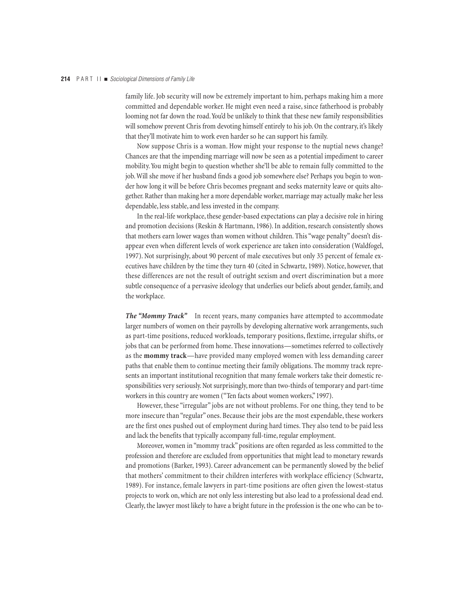family life. Job security will now be extremely important to him, perhaps making him a more committed and dependable worker. He might even need a raise, since fatherhood is probably looming not far down the road. You'd be unlikely to think that these new family responsibilities will somehow prevent Chris from devoting himself entirely to his job. On the contrary, it's likely that they'll motivate him to work even harder so he can support his family.

Now suppose Chris is a woman. How might your response to the nuptial news change? Chances are that the impending marriage will now be seen as a potential impediment to career mobility. You might begin to question whether she'll be able to remain fully committed to the job. Will she move if her husband finds a good job somewhere else? Perhaps you begin to wonder how long it will be before Chris becomes pregnant and seeks maternity leave or quits altogether. Rather than making her a more dependable worker, marriage may actually make her less dependable, less stable, and less invested in the company.

In the real-life workplace, these gender-based expectations can play a decisive role in hiring and promotion decisions (Reskin & Hartmann, 1986). In addition, research consistently shows that mothers earn lower wages than women without children. This "wage penalty" doesn't disappear even when different levels of work experience are taken into consideration (Waldfogel, 1997). Not surprisingly, about 90 percent of male executives but only 35 percent of female executives have children by the time they turn 40 (cited in Schwartz, 1989). Notice, however, that these differences are not the result of outright sexism and overt discrimination but a more subtle consequence of a pervasive ideology that underlies our beliefs about gender, family, and the workplace.

*The "Mommy Track"* In recent years, many companies have attempted to accommodate larger numbers of women on their payrolls by developing alternative work arrangements, such as part-time positions, reduced workloads, temporary positions, flextime, irregular shifts, or jobs that can be performed from home. These innovations—sometimes referred to collectively as the **mommy track**—have provided many employed women with less demanding career paths that enable them to continue meeting their family obligations. The mommy track represents an important institutional recognition that many female workers take their domestic responsibilities very seriously. Not surprisingly, more than two-thirds of temporary and part-time workers in this country are women ("Ten facts about women workers," 1997).

However, these "irregular" jobs are not without problems. For one thing, they tend to be more insecure than "regular" ones. Because their jobs are the most expendable, these workers are the first ones pushed out of employment during hard times. They also tend to be paid less and lack the benefits that typically accompany full-time, regular employment.

Moreover, women in "mommy track" positions are often regarded as less committed to the profession and therefore are excluded from opportunities that might lead to monetary rewards and promotions (Barker, 1993). Career advancement can be permanently slowed by the belief that mothers' commitment to their children interferes with workplace efficiency (Schwartz, 1989). For instance, female lawyers in part-time positions are often given the lowest-status projects to work on, which are not only less interesting but also lead to a professional dead end. Clearly, the lawyer most likely to have a bright future in the profession is the one who can be to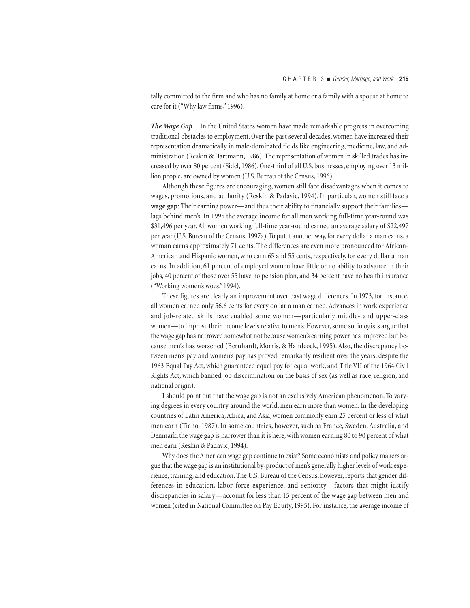tally committed to the firm and who has no family at home or a family with a spouse at home to care for it ("Why law firms," 1996).

**The Wage Gap** In the United States women have made remarkable progress in overcoming traditional obstacles to employment. Over the past several decades, women have increased their representation dramatically in male-dominated fields like engineering, medicine, law, and administration (Reskin & Hartmann, 1986). The representation of women in skilled trades has increased by over 80 percent (Sidel, 1986). One-third of all U.S. businesses, employing over 13 million people, are owned by women (U.S. Bureau of the Census, 1996).

Although these figures are encouraging, women still face disadvantages when it comes to wages, promotions, and authority (Reskin & Padavic, 1994). In particular, women still face a **wage gap**: Their earning power—and thus their ability to financially support their families lags behind men's. In 1995 the average income for all men working full-time year-round was \$31,496 per year. All women working full-time year-round earned an average salary of \$22,497 per year (U.S. Bureau of the Census, 1997a). To put it another way, for every dollar a man earns, a woman earns approximately 71 cents. The differences are even more pronounced for African-American and Hispanic women, who earn 65 and 55 cents, respectively, for every dollar a man earns. In addition, 61 percent of employed women have little or no ability to advance in their jobs, 40 percent of those over 55 have no pension plan, and 34 percent have no health insurance ("Working women's woes," 1994).

These figures are clearly an improvement over past wage differences. In 1973, for instance, all women earned only 56.6 cents for every dollar a man earned. Advances in work experience and job-related skills have enabled some women—particularly middle- and upper-class women—to improve their income levels relative to men's. However, some sociologists argue that the wage gap has narrowed somewhat not because women's earning power has improved but because men's has worsened (Bernhardt, Morris, & Handcock, 1995). Also, the discrepancy between men's pay and women's pay has proved remarkably resilient over the years, despite the 1963 Equal Pay Act, which guaranteed equal pay for equal work, and Title VII of the 1964 Civil Rights Act, which banned job discrimination on the basis of sex (as well as race, religion, and national origin).

I should point out that the wage gap is not an exclusively American phenomenon. To varying degrees in every country around the world, men earn more than women. In the developing countries of Latin America, Africa, and Asia, women commonly earn 25 percent or less of what men earn (Tiano, 1987). In some countries, however, such as France, Sweden, Australia, and Denmark, the wage gap is narrower than it is here, with women earning 80 to 90 percent of what men earn (Reskin & Padavic, 1994).

Why does the American wage gap continue to exist? Some economists and policy makers argue that the wage gap is an institutional by-product of men's generally higher levels of work experience, training, and education. The U.S. Bureau of the Census, however, reports that gender differences in education, labor force experience, and seniority—factors that might justify discrepancies in salary—account for less than 15 percent of the wage gap between men and women (cited in National Committee on Pay Equity, 1995). For instance, the average income of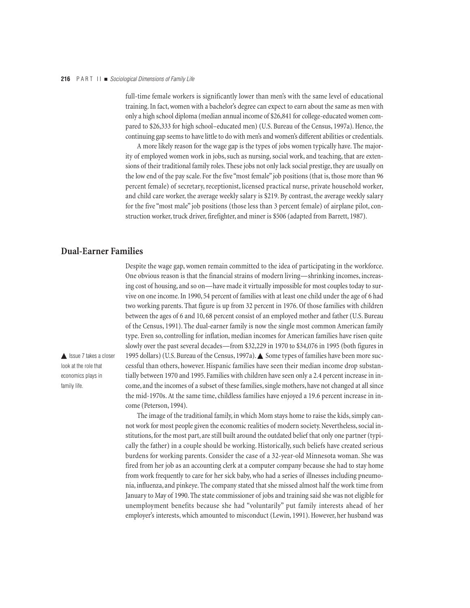full-time female workers is significantly lower than men's with the same level of educational training. In fact, women with a bachelor's degree can expect to earn about the same as men with only a high school diploma (median annual income of \$26,841 for college-educated women compared to \$26,333 for high school–educated men) (U.S. Bureau of the Census, 1997a). Hence, the continuing gap seems to have little to do with men's and women's different abilities or credentials.

A more likely reason for the wage gap is the types of jobs women typically have. The majority of employed women work in jobs, such as nursing, social work, and teaching, that are extensions of their traditional family roles. These jobs not only lack social prestige, they are usually on the low end of the pay scale. For the five "most female" job positions (that is, those more than 96 percent female) of secretary, receptionist, licensed practical nurse, private household worker, and child care worker, the average weekly salary is \$219. By contrast, the average weekly salary for the five "most male" job positions (those less than 3 percent female) of airplane pilot, construction worker, truck driver, firefighter, and miner is \$506 (adapted from Barrett, 1987).

# **Dual-Earner Families**

Despite the wage gap, women remain committed to the idea of participating in the workforce. One obvious reason is that the financial strains of modern living—shrinking incomes, increasing cost of housing, and so on—have made it virtually impossible for most couples today to survive on one income. In 1990, 54 percent of families with at least one child under the age of 6 had two working parents. That figure is up from 32 percent in 1976. Of those families with children between the ages of 6 and 10, 68 percent consist of an employed mother and father (U.S. Bureau of the Census, 1991). The dual-earner family is now the single most common American family type. Even so, controlling for inflation, median incomes for American families have risen quite slowly over the past several decades—from \$32,229 in 1970 to \$34,076 in 1995 (both figures in 1995 dollars) (U.S. Bureau of the Census, 1997a). ▲ Some types of families have been more successful than others, however. Hispanic families have seen their median income drop substantially between 1970 and 1995. Families with children have seen only a 2.4 percent increase in income, and the incomes of a subset of these families, single mothers, have not changed at all since the mid-1970s. At the same time, childless families have enjoyed a 19.6 percent increase in income (Peterson, 1994).

▲ Issue 7 takes a closer look at the role that economics plays in family life.

> The image of the traditional family, in which Mom stays home to raise the kids, simply cannot work for most people given the economic realities of modern society. Nevertheless, social institutions, for the most part, are still built around the outdated belief that only one partner (typically the father) in a couple should be working. Historically, such beliefs have created serious burdens for working parents. Consider the case of a 32-year-old Minnesota woman. She was fired from her job as an accounting clerk at a computer company because she had to stay home from work frequently to care for her sick baby, who had a series of illnesses including pneumonia, influenza, and pinkeye. The company stated that she missed almost half the work time from January to May of 1990. The state commissioner of jobs and training said she was not eligible for unemployment benefits because she had "voluntarily" put family interests ahead of her employer's interests, which amounted to misconduct (Lewin, 1991). However, her husband was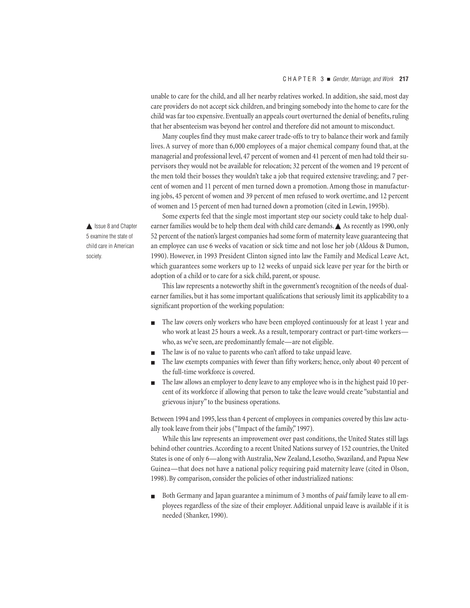unable to care for the child, and all her nearby relatives worked. In addition, she said, most day care providers do not accept sick children, and bringing somebody into the home to care for the child was far too expensive. Eventually an appeals court overturned the denial of benefits, ruling that her absenteeism was beyond her control and therefore did not amount to misconduct.

Many couples find they must make career trade-offs to try to balance their work and family lives. A survey of more than 6,000 employees of a major chemical company found that, at the managerial and professional level, 47 percent of women and 41 percent of men had told their supervisors they would not be available for relocation; 32 percent of the women and 19 percent of the men told their bosses they wouldn't take a job that required extensive traveling; and 7 percent of women and 11 percent of men turned down a promotion. Among those in manufacturing jobs, 45 percent of women and 39 percent of men refused to work overtime, and 12 percent of women and 15 percent of men had turned down a promotion (cited in Lewin, 1995b).

Some experts feel that the single most important step our society could take to help dualearner families would be to help them deal with child care demands. ▲ As recently as 1990, only 52 percent of the nation's largest companies had some form of maternity leave guaranteeing that an employee can use 6 weeks of vacation or sick time and not lose her job (Aldous & Dumon, 1990). However, in 1993 President Clinton signed into law the Family and Medical Leave Act, which guarantees some workers up to 12 weeks of unpaid sick leave per year for the birth or adoption of a child or to care for a sick child, parent, or spouse.

This law represents a noteworthy shift in the government's recognition of the needs of dualearner families, but it has some important qualifications that seriously limit its applicability to a significant proportion of the working population:

- The law covers only workers who have been employed continuously for at least 1 year and who work at least 25 hours a week. As a result, temporary contract or part-time workers who, as we've seen, are predominantly female—are not eligible.
- The law is of no value to parents who can't afford to take unpaid leave.
- The law exempts companies with fewer than fifty workers; hence, only about 40 percent of the full-time workforce is covered.
- The law allows an employer to deny leave to any employee who is in the highest paid 10 percent of its workforce if allowing that person to take the leave would create "substantial and grievous injury" to the business operations.

Between 1994 and 1995, less than 4 percent of employees in companies covered by this law actually took leave from their jobs ("Impact of the family," 1997).

While this law represents an improvement over past conditions, the United States still lags behind other countries. According to a recent United Nations survey of 152 countries, the United States is one of only 6—along with Australia, New Zealand, Lesotho, Swaziland, and Papua New Guinea—that does not have a national policy requiring paid maternity leave (cited in Olson, 1998). By comparison, consider the policies of other industrialized nations:

Both Germany and Japan guarantee a minimum of 3 months of *paid* family leave to all employees regardless of the size of their employer. Additional unpaid leave is available if it is needed (Shanker, 1990).

▲ Issue 8 and Chapter 5 examine the state of child care in American society.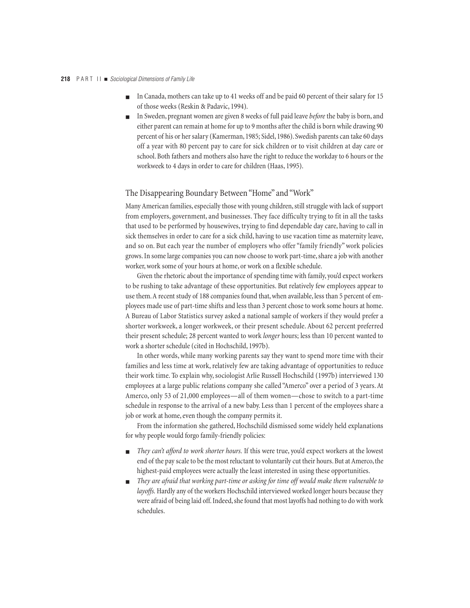- In Canada, mothers can take up to 41 weeks off and be paid 60 percent of their salary for 15 of those weeks (Reskin & Padavic, 1994).
- In Sweden, pregnant women are given 8 weeks of full paid leave *before* the baby is born, and either parent can remain at home for up to 9 months after the child is born while drawing 90 percent of his or her salary (Kamerman, 1985; Sidel, 1986). Swedish parents can take 60 days off a year with 80 percent pay to care for sick children or to visit children at day care or school. Both fathers and mothers also have the right to reduce the workday to 6 hours or the workweek to 4 days in order to care for children (Haas, 1995).

#### The Disappearing Boundary Between "Home" and "Work"

Many American families, especially those with young children, still struggle with lack of support from employers, government, and businesses. They face difficulty trying to fit in all the tasks that used to be performed by housewives, trying to find dependable day care, having to call in sick themselves in order to care for a sick child, having to use vacation time as maternity leave, and so on. But each year the number of employers who offer "family friendly" work policies grows. In some large companies you can now choose to work part-time, share a job with another worker, work some of your hours at home, or work on a flexible schedule.

Given the rhetoric about the importance of spending time with family, you'd expect workers to be rushing to take advantage of these opportunities. But relatively few employees appear to use them. A recent study of 188 companies found that, when available, less than 5 percent of employees made use of part-time shifts and less than 3 percent chose to work some hours at home. A Bureau of Labor Statistics survey asked a national sample of workers if they would prefer a shorter workweek, a longer workweek, or their present schedule. About 62 percent preferred their present schedule; 28 percent wanted to work *longer* hours; less than 10 percent wanted to work a shorter schedule (cited in Hochschild, 1997b).

In other words, while many working parents say they want to spend more time with their families and less time at work, relatively few are taking advantage of opportunities to reduce their work time. To explain why, sociologist Arlie Russell Hochschild (1997b) interviewed 130 employees at a large public relations company she called "Amerco" over a period of 3 years. At Amerco, only 53 of 21,000 employees—all of them women—chose to switch to a part-time schedule in response to the arrival of a new baby. Less than 1 percent of the employees share a job or work at home, even though the company permits it.

From the information she gathered, Hochschild dismissed some widely held explanations for why people would forgo family-friendly policies:

- They can't afford to work shorter hours. If this were true, you'd expect workers at the lowest end of the pay scale to be the most reluctant to voluntarily cut their hours. But at Amerco, the highest-paid employees were actually the least interested in using these opportunities.
- *They are afraid that working part-time or asking for time off would make them vulnerable to layoffs.* Hardly any of the workers Hochschild interviewed worked longer hours because they were afraid of being laid off. Indeed, she found that most layoffs had nothing to do with work schedules.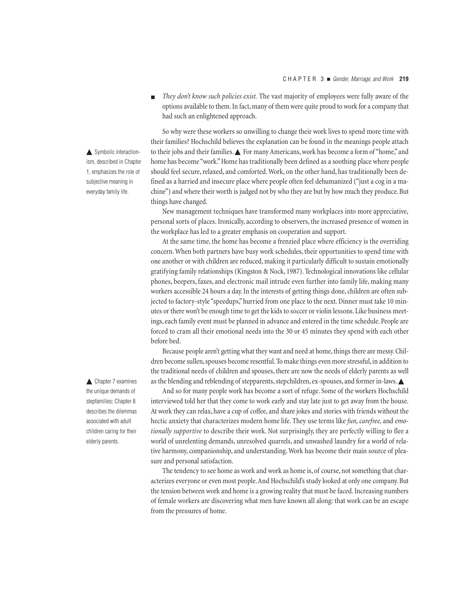■ *They don't know such policies exist*. The vast majority of employees were fully aware of the options available to them. In fact, many of them were quite proud to work for a company that had such an enlightened approach.

So why were these workers so unwilling to change their work lives to spend more time with their families? Hochschild believes the explanation can be found in the meanings people attach to their jobs and their families. ▲ For many Americans, work has become a form of "home," and home has become "work." Home has traditionally been defined as a soothing place where people should feel secure, relaxed, and comforted. Work, on the other hand, has traditionally been defined as a harried and insecure place where people often feel dehumanized ("just a cog in a machine") and where their worth is judged not by who they are but by how much they produce. But things have changed.

New management techniques have transformed many workplaces into more appreciative, personal sorts of places. Ironically, according to observers, the increased presence of women in the workplace has led to a greater emphasis on cooperation and support.

At the same time, the home has become a frenzied place where efficiency is the overriding concern. When both partners have busy work schedules, their opportunities to spend time with one another or with children are reduced, making it particularly difficult to sustain emotionally gratifying family relationships (Kingston & Nock, 1987). Technological innovations like cellular phones, beepers, faxes, and electronic mail intrude even further into family life, making many workers accessible 24 hours a day. In the interests of getting things done, children are often subjected to factory-style "speedups," hurried from one place to the next. Dinner must take 10 minutes or there won't be enough time to get the kids to soccer or violin lessons. Like business meetings, each family event must be planned in advance and entered in the time schedule. People are forced to cram all their emotional needs into the 30 or 45 minutes they spend with each other before bed.

Because people aren't getting what they want and need at home, things there are messy. Children become sullen, spouses become resentful. To make things even more stressful, in addition to the traditional needs of children and spouses, there are now the needs of elderly parents as well as the blending and reblending of stepparents, stepchildren, ex-spouses, and former in-laws. ▲

And so for many people work has become a sort of refuge. Some of the workers Hochschild interviewed told her that they come to work early and stay late just to get away from the house. At work they can relax, have a cup of coffee, and share jokes and stories with friends without the hectic anxiety that characterizes modern home life. They use terms like *fun, carefree,* and *emotionally supportive* to describe their work. Not surprisingly, they are perfectly willing to flee a world of unrelenting demands, unresolved quarrels, and unwashed laundry for a world of relative harmony, companionship, and understanding. Work has become their main source of pleasure and personal satisfaction.

The tendency to see home as work and work as home is, of course, not something that characterizes everyone or even most people. And Hochschild's study looked at only one company. But the tension between work and home is a growing reality that must be faced. Increasing numbers of female workers are discovering what men have known all along: that work can be an escape from the pressures of home.

▲ Chapter 7 examines the unique demands of stepfamilies; Chapter 8 describes the dilemmas associated with adult children caring for their elderly parents.

▲ Symbolic interactionism, described in Chapter 1, emphasizes the role of subjective meaning in everyday family life.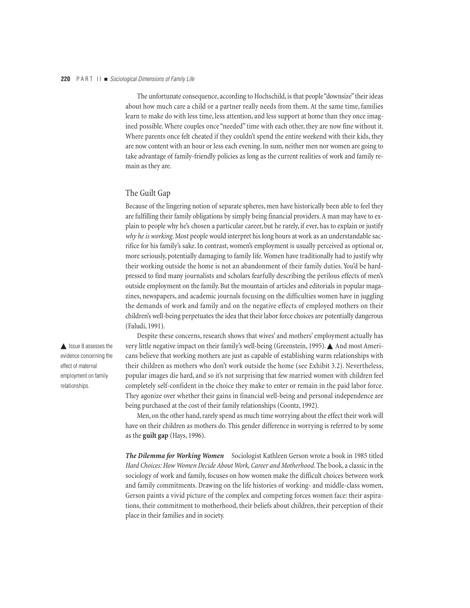The unfortunate consequence, according to Hochschild, is that people "downsize" their ideas about how much care a child or a partner really needs from them. At the same time, families learn to make do with less time, less attention, and less support at home than they once imagined possible. Where couples once "needed" time with each other, they are now fine without it. Where parents once felt cheated if they couldn't spend the entire weekend with their kids, they are now content with an hour or less each evening. In sum, neither men nor women are going to take advantage of family-friendly policies as long as the current realities of work and family remain as they are.

#### The Guilt Gap

Because of the lingering notion of separate spheres, men have historically been able to feel they are fulfilling their family obligations by simply being financial providers. A man may have to explain to people why he's chosen a particular career, but he rarely, if ever, has to explain or justify *why he is working*. Most people would interpret his long hours at work as an understandable sacrifice for his family's sake. In contrast, women's employment is usually perceived as optional or, more seriously, potentially damaging to family life. Women have traditionally had to justify why their working outside the home is not an abandonment of their family duties. You'd be hardpressed to find many journalists and scholars fearfully describing the perilous effects of men's outside employment on the family. But the mountain of articles and editorials in popular magazines, newspapers, and academic journals focusing on the difficulties women have in juggling the demands of work and family and on the negative effects of employed mothers on their children's well-being perpetuates the idea that their labor force choices are potentially dangerous (Faludi, 1991).

▲ Issue 8 assesses the evidence concerning the effect of maternal employment on family relationships.

Despite these concerns, research shows that wives' and mothers' employment actually has very little negative impact on their family's well-being (Greenstein, 1995). ▲ And most Americans believe that working mothers are just as capable of establishing warm relationships with their children as mothers who don't work outside the home (see Exhibit 3.2). Nevertheless, popular images die hard, and so it's not surprising that few married women with children feel completely self-confident in the choice they make to enter or remain in the paid labor force. They agonize over whether their gains in financial well-being and personal independence are being purchased at the cost of their family relationships (Coontz, 1992).

Men, on the other hand, rarely spend as much time worrying about the effect their work will have on their children as mothers do. This gender difference in worrying is referred to by some as the **guilt gap** (Hays, 1996).

*The Dilemma for Working Women* Sociologist Kathleen Gerson wrote a book in 1985 titled *Hard Choices: How Women Decide About Work, Career and Motherhood*. The book, a classic in the sociology of work and family, focuses on how women make the difficult choices between work and family commitments. Drawing on the life histories of working- and middle-class women, Gerson paints a vivid picture of the complex and competing forces women face: their aspirations, their commitment to motherhood, their beliefs about children, their perception of their place in their families and in society.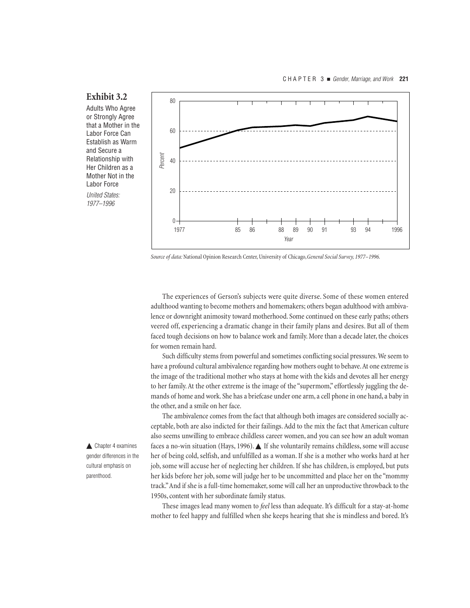# **Exhibit 3.2**

*Adults Who Agree or Strongly Agree that a Mother in the Labor Force Can Establish as Warm and Secure a Relationship with Her Children as a Mother Not in the Labor Force* United States: 1977–1996



The experiences of Gerson's subjects were quite diverse. Some of these women entered adulthood wanting to become mothers and homemakers; others began adulthood with ambivalence or downright animosity toward motherhood. Some continued on these early paths; others veered off, experiencing a dramatic change in their family plans and desires. But all of them faced tough decisions on how to balance work and family. More than a decade later, the choices for women remain hard.

Such difficulty stems from powerful and sometimes conflicting social pressures. We seem to have a profound cultural ambivalence regarding how mothers ought to behave. At one extreme is the image of the traditional mother who stays at home with the kids and devotes all her energy to her family. At the other extreme is the image of the "supermom," effortlessly juggling the demands of home and work. She has a briefcase under one arm, a cell phone in one hand, a baby in the other, and a smile on her face.

The ambivalence comes from the fact that although both images are considered socially acceptable, both are also indicted for their failings. Add to the mix the fact that American culture also seems unwilling to embrace childless career women, and you can see how an adult woman faces a no-win situation (Hays, 1996). A If she voluntarily remains childless, some will accuse her of being cold, selfish, and unfulfilled as a woman. If she is a mother who works hard at her job, some will accuse her of neglecting her children. If she has children, is employed, but puts her kids before her job, some will judge her to be uncommitted and place her on the "mommy track." And if she is a full-time homemaker, some will call her an unproductive throwback to the 1950s, content with her subordinate family status.

These images lead many women to *feel* less than adequate. It's difficult for a stay-at-home mother to feel happy and fulfilled when she keeps hearing that she is mindless and bored. It's

▲ Chapter 4 examines gender differences in the cultural emphasis on parenthood.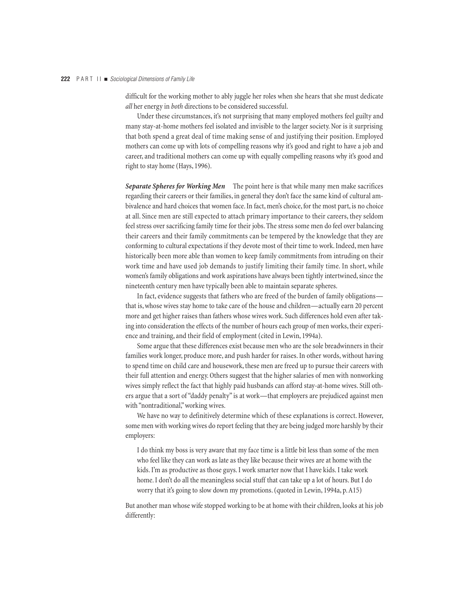difficult for the working mother to ably juggle her roles when she hears that she must dedicate *all* her energy in *both* directions to be considered successful.

Under these circumstances, it's not surprising that many employed mothers feel guilty and many stay-at-home mothers feel isolated and invisible to the larger society. Nor is it surprising that both spend a great deal of time making sense of and justifying their position. Employed mothers can come up with lots of compelling reasons why it's good and right to have a job and career, and traditional mothers can come up with equally compelling reasons why it's good and right to stay home (Hays, 1996).

*Separate Spheres for Working Men* The point here is that while many men make sacrifices regarding their careers or their families, in general they don't face the same kind of cultural ambivalence and hard choices that women face. In fact, men's choice, for the most part, is no choice at all. Since men are still expected to attach primary importance to their careers, they seldom feel stress over sacrificing family time for their jobs. The stress some men do feel over balancing their careers and their family commitments can be tempered by the knowledge that they are conforming to cultural expectations if they devote most of their time to work. Indeed, men have historically been more able than women to keep family commitments from intruding on their work time and have used job demands to justify limiting their family time. In short, while women's family obligations and work aspirations have always been tightly intertwined, since the nineteenth century men have typically been able to maintain separate spheres.

In fact, evidence suggests that fathers who are freed of the burden of family obligations that is, whose wives stay home to take care of the house and children—actually earn 20 percent more and get higher raises than fathers whose wives work. Such differences hold even after taking into consideration the effects of the number of hours each group of men works, their experience and training, and their field of employment (cited in Lewin, 1994a).

Some argue that these differences exist because men who are the sole breadwinners in their families work longer, produce more, and push harder for raises. In other words, without having to spend time on child care and housework, these men are freed up to pursue their careers with their full attention and energy. Others suggest that the higher salaries of men with nonworking wives simply reflect the fact that highly paid husbands can afford stay-at-home wives. Still others argue that a sort of "daddy penalty" is at work—that employers are prejudiced against men with "nontraditional," working wives.

We have no way to definitively determine which of these explanations is correct. However, some men with working wives do report feeling that they are being judged more harshly by their employers:

I do think my boss is very aware that my face time is a little bit less than some of the men who feel like they can work as late as they like because their wives are at home with the kids. I'm as productive as those guys. I work smarter now that I have kids. I take work home. I don't do all the meaningless social stuff that can take up a lot of hours. But I do worry that it's going to slow down my promotions. (quoted in Lewin, 1994a, p. A15)

But another man whose wife stopped working to be at home with their children, looks at his job differently: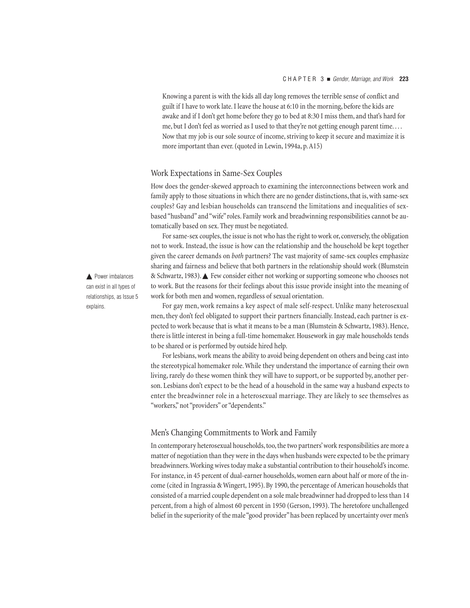Knowing a parent is with the kids all day long removes the terrible sense of conflict and guilt if I have to work late. I leave the house at 6:10 in the morning, before the kids are awake and if I don't get home before they go to bed at 8:30 I miss them, and that's hard for me, but I don't feel as worried as I used to that they're not getting enough parent time. . . . Now that my job is our sole source of income, striving to keep it secure and maximize it is more important than ever. (quoted in Lewin, 1994a, p. A15)

#### Work Expectations in Same-Sex Couples

How does the gender-skewed approach to examining the interconnections between work and family apply to those situations in which there are no gender distinctions, that is, with same-sex couples? Gay and lesbian households can transcend the limitations and inequalities of sexbased "husband" and "wife" roles. Family work and breadwinning responsibilities cannot be automatically based on sex. They must be negotiated.

For same-sex couples, the issue is not who has the right to work or, conversely, the obligation not to work. Instead, the issue is how can the relationship and the household be kept together given the career demands on *both* partners? The vast majority of same-sex couples emphasize sharing and fairness and believe that both partners in the relationship should work (Blumstein & Schwartz, 1983). ▲ Few consider either not working or supporting someone who chooses not to work. But the reasons for their feelings about this issue provide insight into the meaning of work for both men and women, regardless of sexual orientation.

For gay men, work remains a key aspect of male self-respect. Unlike many heterosexual men, they don't feel obligated to support their partners financially. Instead, each partner is expected to work because that is what it means to be a man (Blumstein & Schwartz, 1983). Hence, there is little interest in being a full-time homemaker. Housework in gay male households tends to be shared or is performed by outside hired help.

For lesbians, work means the ability to avoid being dependent on others and being cast into the stereotypical homemaker role. While they understand the importance of earning their own living, rarely do these women think they will have to support, or be supported by, another person. Lesbians don't expect to be the head of a household in the same way a husband expects to enter the breadwinner role in a heterosexual marriage. They are likely to see themselves as "workers," not "providers" or "dependents."

#### Men's Changing Commitments to Work and Family

In contemporary heterosexual households, too, the two partners' work responsibilities are more a matter of negotiation than they were in the days when husbands were expected to be the primary breadwinners. Working wives today make a substantial contribution to their household's income. For instance, in 45 percent of dual-earner households, women earn about half or more of the income (cited in Ingrassia & Wingert, 1995). By 1990, the percentage of American households that consisted of a married couple dependent on a sole male breadwinner had dropped to less than 14 percent, from a high of almost 60 percent in 1950 (Gerson, 1993). The heretofore unchallenged belief in the superiority of the male "good provider" has been replaced by uncertainty over men's

▲ Power imbalances can exist in all types of relationships, as Issue 5 explains.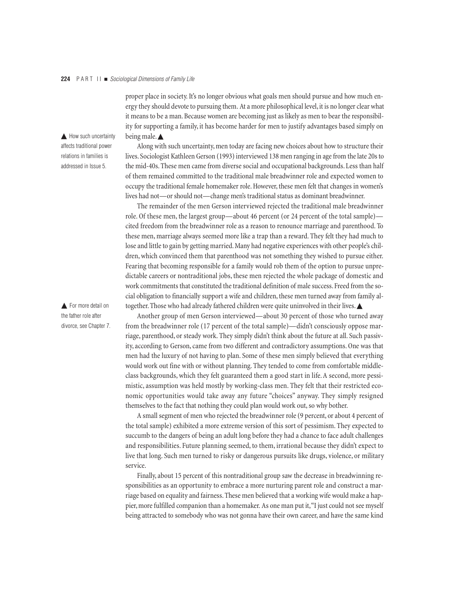proper place in society. It's no longer obvious what goals men should pursue and how much energy they should devote to pursuing them. At a more philosophical level, it is no longer clear what it means to be a man. Because women are becoming just as likely as men to bear the responsibility for supporting a family, it has become harder for men to justify advantages based simply on being male. **▲** 

Along with such uncertainty, men today are facing new choices about how to structure their lives. Sociologist Kathleen Gerson (1993) interviewed 138 men ranging in age from the late 20s to the mid-40s. These men came from diverse social and occupational backgrounds. Less than half of them remained committed to the traditional male breadwinner role and expected women to occupy the traditional female homemaker role. However, these men felt that changes in women's lives had not—or should not—change men's traditional status as dominant breadwinner.

The remainder of the men Gerson interviewed rejected the traditional male breadwinner role. Of these men, the largest group—about 46 percent (or 24 percent of the total sample) cited freedom from the breadwinner role as a reason to renounce marriage and parenthood. To these men, marriage always seemed more like a trap than a reward. They felt they had much to lose and little to gain by getting married. Many had negative experiences with other people's children, which convinced them that parenthood was not something they wished to pursue either. Fearing that becoming responsible for a family would rob them of the option to pursue unpredictable careers or nontraditional jobs, these men rejected the whole package of domestic and work commitments that constituted the traditional definition of male success. Freed from the social obligation to financially support a wife and children, these men turned away from family altogether. Those who had already fathered children were quite uninvolved in their lives. ▲

Another group of men Gerson interviewed—about 30 percent of those who turned away from the breadwinner role (17 percent of the total sample)—didn't consciously oppose marriage, parenthood, or steady work. They simply didn't think about the future at all. Such passivity, according to Gerson, came from two different and contradictory assumptions. One was that men had the luxury of not having to plan. Some of these men simply believed that everything would work out fine with or without planning. They tended to come from comfortable middleclass backgrounds, which they felt guaranteed them a good start in life. A second, more pessimistic, assumption was held mostly by working-class men. They felt that their restricted economic opportunities would take away any future "choices" anyway. They simply resigned themselves to the fact that nothing they could plan would work out, so why bother.

A small segment of men who rejected the breadwinner role (9 percent, or about 4 percent of the total sample) exhibited a more extreme version of this sort of pessimism. They expected to succumb to the dangers of being an adult long before they had a chance to face adult challenges and responsibilities. Future planning seemed, to them, irrational because they didn't expect to live that long. Such men turned to risky or dangerous pursuits like drugs, violence, or military service.

Finally, about 15 percent of this nontraditional group saw the decrease in breadwinning responsibilities as an opportunity to embrace a more nurturing parent role and construct a marriage based on equality and fairness. These men believed that a working wife would make a happier, more fulfilled companion than a homemaker. As one man put it, "I just could not see myself being attracted to somebody who was not gonna have their own career, and have the same kind

▲ How such uncertainty affects traditional power relations in families is addressed in Issue 5.

▲ For more detail on the father role after divorce, see Chapter 7.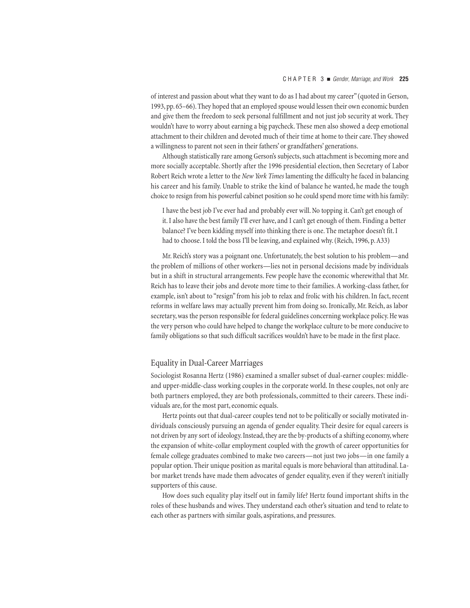of interest and passion about what they want to do as I had about my career" (quoted in Gerson, 1993, pp. 65–66). They hoped that an employed spouse would lessen their own economic burden and give them the freedom to seek personal fulfillment and not just job security at work. They wouldn't have to worry about earning a big paycheck. These men also showed a deep emotional attachment to their children and devoted much of their time at home to their care. They showed a willingness to parent not seen in their fathers' or grandfathers' generations.

Although statistically rare among Gerson's subjects, such attachment is becoming more and more socially acceptable. Shortly after the 1996 presidential election, then Secretary of Labor Robert Reich wrote a letter to the *New York Times* lamenting the difficulty he faced in balancing his career and his family. Unable to strike the kind of balance he wanted, he made the tough choice to resign from his powerful cabinet position so he could spend more time with his family:

I have the best job I've ever had and probably ever will. No topping it. Can't get enough of it. I also have the best family I'll ever have, and I can't get enough of them. Finding a better balance? I've been kidding myself into thinking there is one. The metaphor doesn't fit. I had to choose. I told the boss I'll be leaving, and explained why. (Reich, 1996, p. A33)

Mr. Reich's story was a poignant one. Unfortunately, the best solution to his problem—and the problem of millions of other workers—lies not in personal decisions made by individuals but in a shift in structural arrangements. Few people have the economic wherewithal that Mr. Reich has to leave their jobs and devote more time to their families. A working-class father, for example, isn't about to "resign" from his job to relax and frolic with his children. In fact, recent reforms in welfare laws may actually prevent him from doing so. Ironically, Mr. Reich, as labor secretary, was the person responsible for federal guidelines concerning workplace policy. He was the very person who could have helped to change the workplace culture to be more conducive to family obligations so that such difficult sacrifices wouldn't have to be made in the first place.

## Equality in Dual-Career Marriages

Sociologist Rosanna Hertz (1986) examined a smaller subset of dual-earner couples: middleand upper-middle-class working couples in the corporate world. In these couples, not only are both partners employed, they are both professionals, committed to their careers. These individuals are, for the most part, economic equals.

Hertz points out that dual-career couples tend not to be politically or socially motivated individuals consciously pursuing an agenda of gender equality. Their desire for equal careers is not driven by any sort of ideology. Instead, they are the by-products of a shifting economy, where the expansion of white-collar employment coupled with the growth of career opportunities for female college graduates combined to make two careers—not just two jobs—in one family a popular option. Their unique position as marital equals is more behavioral than attitudinal. Labor market trends have made them advocates of gender equality, even if they weren't initially supporters of this cause.

How does such equality play itself out in family life? Hertz found important shifts in the roles of these husbands and wives. They understand each other's situation and tend to relate to each other as partners with similar goals, aspirations, and pressures.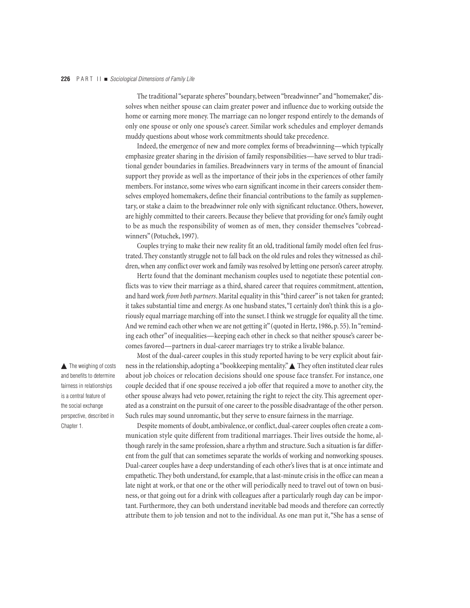The traditional "separate spheres" boundary, between "breadwinner" and "homemaker," dissolves when neither spouse can claim greater power and influence due to working outside the home or earning more money. The marriage can no longer respond entirely to the demands of only one spouse or only one spouse's career. Similar work schedules and employer demands muddy questions about whose work commitments should take precedence.

Indeed, the emergence of new and more complex forms of breadwinning—which typically emphasize greater sharing in the division of family responsibilities—have served to blur traditional gender boundaries in families. Breadwinners vary in terms of the amount of financial support they provide as well as the importance of their jobs in the experiences of other family members. For instance, some wives who earn significant income in their careers consider themselves employed homemakers, define their financial contributions to the family as supplementary, or stake a claim to the breadwinner role only with significant reluctance. Others, however, are highly committed to their careers. Because they believe that providing for one's family ought to be as much the responsibility of women as of men, they consider themselves "cobreadwinners" (Potuchek, 1997).

Couples trying to make their new reality fit an old, traditional family model often feel frustrated. They constantly struggle not to fall back on the old rules and roles they witnessed as children, when any conflict over work and family was resolved by letting one person's career atrophy.

Hertz found that the dominant mechanism couples used to negotiate these potential conflicts was to view their marriage as a third, shared career that requires commitment, attention, and hard work *from both partners*. Marital equality in this "third career" is not taken for granted; it takes substantial time and energy. As one husband states, "I certainly don't think this is a gloriously equal marriage marching off into the sunset. I think we struggle for equality all the time. And we remind each other when we are not getting it" (quoted in Hertz, 1986, p. 55). In "reminding each other" of inequalities—keeping each other in check so that neither spouse's career becomes favored—partners in dual-career marriages try to strike a livable balance.

Most of the dual-career couples in this study reported having to be very explicit about fairness in the relationship, adopting a "bookkeeping mentality." ▲ They often instituted clear rules about job choices or relocation decisions should one spouse face transfer. For instance, one couple decided that if one spouse received a job offer that required a move to another city, the other spouse always had veto power, retaining the right to reject the city. This agreement operated as a constraint on the pursuit of one career to the possible disadvantage of the other person. Such rules may sound unromantic, but they serve to ensure fairness in the marriage.

Despite moments of doubt, ambivalence, or conflict, dual-career couples often create a communication style quite different from traditional marriages. Their lives outside the home, although rarely in the same profession, share a rhythm and structure. Such a situation is far different from the gulf that can sometimes separate the worlds of working and nonworking spouses. Dual-career couples have a deep understanding of each other's lives that is at once intimate and empathetic. They both understand, for example, that a last-minute crisis in the office can mean a late night at work, or that one or the other will periodically need to travel out of town on business, or that going out for a drink with colleagues after a particularly rough day can be important. Furthermore, they can both understand inevitable bad moods and therefore can correctly attribute them to job tension and not to the individual. As one man put it, "She has a sense of

 $\triangle$  The weighing of costs and benefits to determine fairness in relationships is a central feature of the social exchange perspective, described in Chapter 1.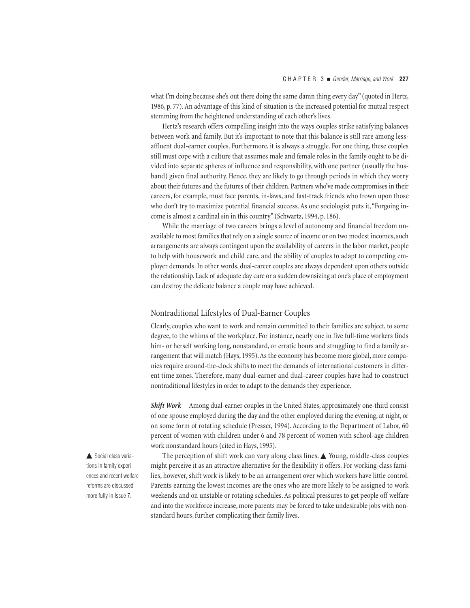what I'm doing because she's out there doing the same damn thing every day" (quoted in Hertz, 1986, p. 77). An advantage of this kind of situation is the increased potential for mutual respect stemming from the heightened understanding of each other's lives.

Hertz's research offers compelling insight into the ways couples strike satisfying balances between work and family. But it's important to note that this balance is still rare among lessaffluent dual-earner couples. Furthermore, it is always a struggle. For one thing, these couples still must cope with a culture that assumes male and female roles in the family ought to be divided into separate spheres of influence and responsibility, with one partner (usually the husband) given final authority. Hence, they are likely to go through periods in which they worry about their futures and the futures of their children. Partners who've made compromises in their careers, for example, must face parents, in-laws, and fast-track friends who frown upon those who don't try to maximize potential financial success. As one sociologist puts it, "Forgoing income is almost a cardinal sin in this country" (Schwartz, 1994, p. 186).

While the marriage of two careers brings a level of autonomy and financial freedom unavailable to most families that rely on a single source of income or on two modest incomes, such arrangements are always contingent upon the availability of careers in the labor market, people to help with housework and child care, and the ability of couples to adapt to competing employer demands. In other words, dual-career couples are always dependent upon others outside the relationship. Lack of adequate day care or a sudden downsizing at one's place of employment can destroy the delicate balance a couple may have achieved.

#### Nontraditional Lifestyles of Dual-Earner Couples

Clearly, couples who want to work and remain committed to their families are subject, to some degree, to the whims of the workplace. For instance, nearly one in five full-time workers finds him- or herself working long, nonstandard, or erratic hours and struggling to find a family arrangement that will match (Hays, 1995). As the economy has become more global, more companies require around-the-clock shifts to meet the demands of international customers in different time zones. Therefore, many dual-earner and dual-career couples have had to construct nontraditional lifestyles in order to adapt to the demands they experience.

*Shift Work* Among dual-earner couples in the United States, approximately one-third consist of one spouse employed during the day and the other employed during the evening, at night, or on some form of rotating schedule (Presser, 1994). According to the Department of Labor, 60 percent of women with children under 6 and 78 percent of women with school-age children work nonstandard hours (cited in Hays, 1995).

The perception of shift work can vary along class lines.  $\triangle$  Young, middle-class couples might perceive it as an attractive alternative for the flexibility it offers. For working-class families, however, shift work is likely to be an arrangement over which workers have little control. Parents earning the lowest incomes are the ones who are more likely to be assigned to work weekends and on unstable or rotating schedules. As political pressures to get people off welfare and into the workforce increase, more parents may be forced to take undesirable jobs with nonstandard hours, further complicating their family lives.

▲ Social class variations in family experiences and recent welfare reforms are discussed more fully in Issue 7.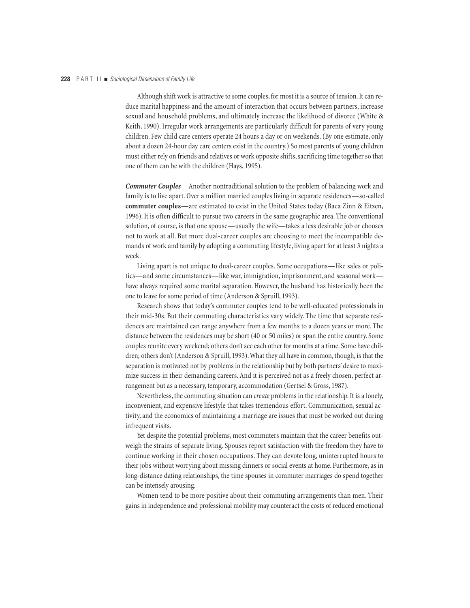Although shift work is attractive to some couples, for most it is a source of tension. It can reduce marital happiness and the amount of interaction that occurs between partners, increase sexual and household problems, and ultimately increase the likelihood of divorce (White & Keith, 1990). Irregular work arrangements are particularly difficult for parents of very young children. Few child care centers operate 24 hours a day or on weekends. (By one estimate, only about a dozen 24-hour day care centers exist in the country.) So most parents of young children must either rely on friends and relatives or work opposite shifts, sacrificing time together so that one of them can be with the children (Hays, 1995).

*Commuter Couples* Another nontraditional solution to the problem of balancing work and family is to live apart. Over a million married couples living in separate residences—so-called **commuter couples**—are estimated to exist in the United States today (Baca Zinn & Eitzen, 1996). It is often difficult to pursue two careers in the same geographic area. The conventional solution, of course, is that one spouse—usually the wife—takes a less desirable job or chooses not to work at all. But more dual-career couples are choosing to meet the incompatible demands of work and family by adopting a commuting lifestyle, living apart for at least 3 nights a week.

Living apart is not unique to dual-career couples. Some occupations—like sales or politics—and some circumstances—like war, immigration, imprisonment, and seasonal work have always required some marital separation. However, the husband has historically been the one to leave for some period of time (Anderson & Spruill, 1993).

Research shows that today's commuter couples tend to be well-educated professionals in their mid-30s. But their commuting characteristics vary widely. The time that separate residences are maintained can range anywhere from a few months to a dozen years or more. The distance between the residences may be short (40 or 50 miles) or span the entire country. Some couples reunite every weekend; others don't see each other for months at a time. Some have children; others don't (Anderson & Spruill, 1993). What they all have in common, though, is that the separation is motivated not by problems in the relationship but by both partners' desire to maximize success in their demanding careers. And it is perceived not as a freely chosen, perfect arrangement but as a necessary, temporary, accommodation (Gertsel & Gross, 1987).

Nevertheless, the commuting situation can *create* problems in the relationship. It is a lonely, inconvenient, and expensive lifestyle that takes tremendous effort. Communication, sexual activity, and the economics of maintaining a marriage are issues that must be worked out during infrequent visits.

Yet despite the potential problems, most commuters maintain that the career benefits outweigh the strains of separate living. Spouses report satisfaction with the freedom they have to continue working in their chosen occupations. They can devote long, uninterrupted hours to their jobs without worrying about missing dinners or social events at home. Furthermore, as in long-distance dating relationships, the time spouses in commuter marriages do spend together can be intensely arousing.

Women tend to be more positive about their commuting arrangements than men. Their gains in independence and professional mobility may counteract the costs of reduced emotional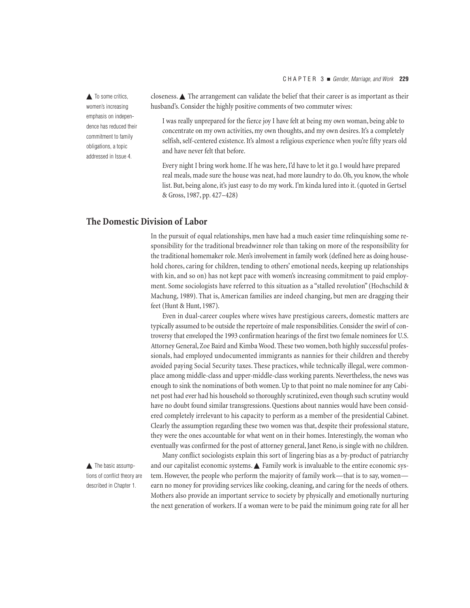$\blacktriangle$  To some critics, women's increasing emphasis on independence has reduced their commitment to family obligations, a topic addressed in Issue 4.

closeness. ▲ The arrangement can validate the belief that their career is as important as their husband's. Consider the highly positive comments of two commuter wives:

I was really unprepared for the fierce joy I have felt at being my own woman, being able to concentrate on my own activities, my own thoughts, and my own desires. It's a completely selfish, self-centered existence. It's almost a religious experience when you're fifty years old and have never felt that before.

Every night I bring work home. If he was here, I'd have to let it go. I would have prepared real meals, made sure the house was neat, had more laundry to do. Oh, you know, the whole list. But, being alone, it's just easy to do my work. I'm kinda lured into it. (quoted in Gertsel & Gross, 1987, pp. 427–428)

# **The Domestic Division of Labor**

In the pursuit of equal relationships, men have had a much easier time relinquishing some responsibility for the traditional breadwinner role than taking on more of the responsibility for the traditional homemaker role. Men's involvement in family work (defined here as doing household chores, caring for children, tending to others' emotional needs, keeping up relationships with kin, and so on) has not kept pace with women's increasing commitment to paid employment. Some sociologists have referred to this situation as a "stalled revolution" (Hochschild & Machung, 1989). That is, American families are indeed changing, but men are dragging their feet (Hunt & Hunt, 1987).

Even in dual-career couples where wives have prestigious careers, domestic matters are typically assumed to be outside the repertoire of male responsibilities. Consider the swirl of controversy that enveloped the 1993 confirmation hearings of the first two female nominees for U.S. Attorney General, Zoe Baird and Kimba Wood. These two women, both highly successful professionals, had employed undocumented immigrants as nannies for their children and thereby avoided paying Social Security taxes. These practices, while technically illegal, were commonplace among middle-class and upper-middle-class working parents. Nevertheless, the news was enough to sink the nominations of both women. Up to that point no male nominee for any Cabinet post had ever had his household so thoroughly scrutinized, even though such scrutiny would have no doubt found similar transgressions. Questions about nannies would have been considered completely irrelevant to his capacity to perform as a member of the presidential Cabinet. Clearly the assumption regarding these two women was that, despite their professional stature, they were the ones accountable for what went on in their homes. Interestingly, the woman who eventually was confirmed for the post of attorney general, Janet Reno, is single with no children.

▲ The basic assumptions of conflict theory are described in Chapter 1.

Many conflict sociologists explain this sort of lingering bias as a by-product of patriarchy and our capitalist economic systems.  $\blacktriangle$  Family work is invaluable to the entire economic system. However, the people who perform the majority of family work—that is to say, women earn no money for providing services like cooking, cleaning, and caring for the needs of others. Mothers also provide an important service to society by physically and emotionally nurturing the next generation of workers. If a woman were to be paid the minimum going rate for all her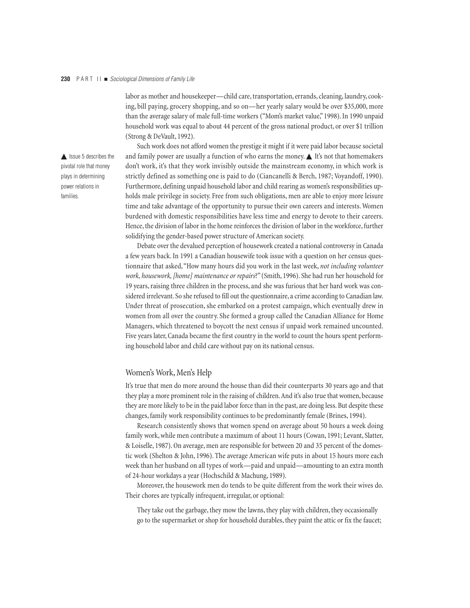labor as mother and housekeeper—child care, transportation, errands, cleaning, laundry, cooking, bill paying, grocery shopping, and so on—her yearly salary would be over \$35,000, more than the average salary of male full-time workers ("Mom's market value," 1998). In 1990 unpaid household work was equal to about 44 percent of the gross national product, or over \$1 trillion (Strong & DeVault, 1992).

 $\triangle$  Issue 5 describes the pivotal role that money plays in determining power relations in families.

Such work does not afford women the prestige it might if it were paid labor because societal and family power are usually a function of who earns the money.  $\blacktriangle$  It's not that homemakers don't work, it's that they work invisibly outside the mainstream economy, in which work is strictly defined as something one is paid to do (Ciancanelli & Berch, 1987; Voyandoff, 1990). Furthermore, defining unpaid household labor and child rearing as women's responsibilities upholds male privilege in society. Free from such obligations, men are able to enjoy more leisure time and take advantage of the opportunity to pursue their own careers and interests. Women burdened with domestic responsibilities have less time and energy to devote to their careers. Hence, the division of labor in the home reinforces the division of labor in the workforce, further solidifying the gender-based power structure of American society.

Debate over the devalued perception of housework created a national controversy in Canada a few years back. In 1991 a Canadian housewife took issue with a question on her census questionnaire that asked, "How many hours did you work in the last week, *not including volunteer work, housework, [home] maintenance or repairs*?" (Smith, 1996). She had run her household for 19 years, raising three children in the process, and she was furious that her hard work was considered irrelevant. So she refused to fill out the questionnaire, a crime according to Canadian law. Under threat of prosecution, she embarked on a protest campaign, which eventually drew in women from all over the country. She formed a group called the Canadian Alliance for Home Managers, which threatened to boycott the next census if unpaid work remained uncounted. Five years later, Canada became the first country in the world to count the hours spent performing household labor and child care without pay on its national census.

#### Women's Work, Men's Help

It's true that men do more around the house than did their counterparts 30 years ago and that they play a more prominent role in the raising of children. And it's also true that women, because they are more likely to be in the paid labor force than in the past, are doing less. But despite these changes, family work responsibility continues to be predominantly female (Brines, 1994).

Research consistently shows that women spend on average about 50 hours a week doing family work, while men contribute a maximum of about 11 hours (Cowan, 1991; Levant, Slatter, & Loiselle, 1987). On average, men are responsible for between 20 and 35 percent of the domestic work (Shelton & John, 1996). The average American wife puts in about 15 hours more each week than her husband on all types of work—paid and unpaid—amounting to an extra month of 24-hour workdays a year (Hochschild & Machung, 1989).

Moreover, the housework men do tends to be quite different from the work their wives do. Their chores are typically infrequent, irregular, or optional:

They take out the garbage, they mow the lawns, they play with children, they occasionally go to the supermarket or shop for household durables, they paint the attic or fix the faucet;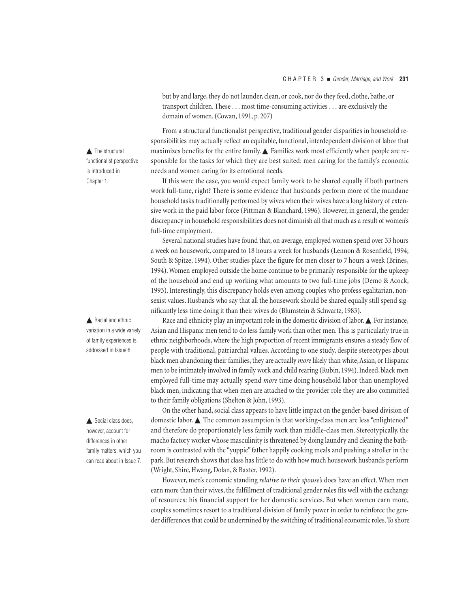but by and large, they do not launder, clean, or cook, nor do they feed, clothe, bathe, or transport children. These . . . most time-consuming activities . . . are exclusively the domain of women. (Cowan, 1991, p. 207)

From a structural functionalist perspective, traditional gender disparities in household responsibilities may actually reflect an equitable, functional, interdependent division of labor that maximizes benefits for the entire family. ▲ Families work most efficiently when people are responsible for the tasks for which they are best suited: men caring for the family's economic needs and women caring for its emotional needs.

If this were the case, you would expect family work to be shared equally if both partners work full-time, right? There is some evidence that husbands perform more of the mundane household tasks traditionally performed by wives when their wives have a long history of extensive work in the paid labor force (Pittman & Blanchard, 1996). However, in general, the gender discrepancy in household responsibilities does not diminish all that much as a result of women's full-time employment.

Several national studies have found that, on average, employed women spend over 33 hours a week on housework, compared to 18 hours a week for husbands (Lennon & Rosenfield, 1994; South & Spitze, 1994). Other studies place the figure for men closer to 7 hours a week (Brines, 1994). Women employed outside the home continue to be primarily responsible for the upkeep of the household and end up working what amounts to two full-time jobs (Demo & Acock, 1993). Interestingly, this discrepancy holds even among couples who profess egalitarian, nonsexist values. Husbands who say that all the housework should be shared equally still spend significantly less time doing it than their wives do (Blumstein & Schwartz, 1983).

Race and ethnicity play an important role in the domestic division of labor. ▲ For instance, Asian and Hispanic men tend to do less family work than other men. This is particularly true in ethnic neighborhoods, where the high proportion of recent immigrants ensures a steady flow of people with traditional, patriarchal values. According to one study, despite stereotypes about black men abandoning their families, they are actually *more* likely than white, Asian, or Hispanic men to be intimately involved in family work and child rearing (Rubin, 1994). Indeed, black men employed full-time may actually spend *more* time doing household labor than unemployed black men, indicating that when men are attached to the provider role they are also committed to their family obligations (Shelton & John, 1993).

On the other hand, social class appears to have little impact on the gender-based division of domestic labor.  $\blacktriangle$  The common assumption is that working-class men are less "enlightened" and therefore do proportionately less family work than middle-class men. Stereotypically, the macho factory worker whose masculinity is threatened by doing laundry and cleaning the bathroom is contrasted with the "yuppie" father happily cooking meals and pushing a stroller in the park. But research shows that class has little to do with how much housework husbands perform (Wright, Shire, Hwang, Dolan, & Baxter, 1992).

However, men's economic standing *relative to their spouse's* does have an effect. When men earn more than their wives, the fulfillment of traditional gender roles fits well with the exchange of resources: his financial support for her domestic services. But when women earn more, couples sometimes resort to a traditional division of family power in order to reinforce the gender differences that could be undermined by the switching of traditional economic roles. To shore

▲ The structural functionalist perspective is introduced in Chapter 1.

▲ Racial and ethnic variation in a wide variety of family experiences is addressed in Issue 6.

▲ Social class does, however, account for differences in other family matters, which you can read about in Issue 7.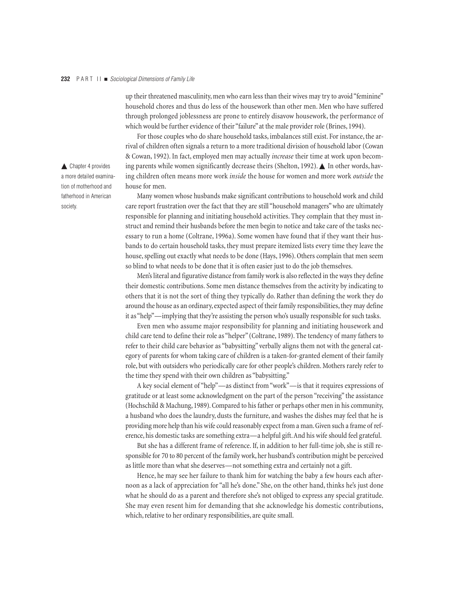up their threatened masculinity, men who earn less than their wives may try to avoid "feminine" household chores and thus do less of the housework than other men. Men who have suffered through prolonged joblessness are prone to entirely disavow housework, the performance of which would be further evidence of their "failure" at the male provider role (Brines, 1994).

For those couples who do share household tasks, imbalances still exist. For instance, the arrival of children often signals a return to a more traditional division of household labor (Cowan & Cowan, 1992). In fact, employed men may actually *increase* their time at work upon becoming parents while women significantly decrease theirs (Shelton, 1992).  $\blacktriangle$  In other words, having children often means more work *inside* the house for women and more work *outside* the house for men.

Many women whose husbands make significant contributions to household work and child care report frustration over the fact that they are still "household managers" who are ultimately responsible for planning and initiating household activities. They complain that they must instruct and remind their husbands before the men begin to notice and take care of the tasks necessary to run a home (Coltrane, 1996a). Some women have found that if they want their husbands to do certain household tasks, they must prepare itemized lists every time they leave the house, spelling out exactly what needs to be done (Hays, 1996). Others complain that men seem so blind to what needs to be done that it is often easier just to do the job themselves.

Men's literal and figurative distance from family work is also reflected in the ways they define their domestic contributions. Some men distance themselves from the activity by indicating to others that it is not the sort of thing they typically do. Rather than defining the work they do around the house as an ordinary, expected aspect of their family responsibilities, they may define it as "help"—implying that they're assisting the person who's usually responsible for such tasks.

Even men who assume major responsibility for planning and initiating housework and child care tend to define their role as "helper" (Coltrane, 1989). The tendency of many fathers to refer to their child care behavior as "babysitting" verbally aligns them not with the general category of parents for whom taking care of children is a taken-for-granted element of their family role, but with outsiders who periodically care for other people's children. Mothers rarely refer to the time they spend with their own children as "babysitting."

A key social element of "help"—as distinct from "work"—is that it requires expressions of gratitude or at least some acknowledgment on the part of the person "receiving" the assistance (Hochschild & Machung, 1989). Compared to his father or perhaps other men in his community, a husband who does the laundry, dusts the furniture, and washes the dishes may feel that he is providing more help than his wife could reasonably expect from a man. Given such a frame of reference, his domestic tasks are something extra—a helpful gift. And his wife should feel grateful.

But she has a different frame of reference. If, in addition to her full-time job, she is still responsible for 70 to 80 percent of the family work, her husband's contribution might be perceived as little more than what she deserves—not something extra and certainly not a gift.

Hence, he may see her failure to thank him for watching the baby a few hours each afternoon as a lack of appreciation for "all he's done." She, on the other hand, thinks he's just done what he should do as a parent and therefore she's not obliged to express any special gratitude. She may even resent him for demanding that she acknowledge his domestic contributions, which, relative to her ordinary responsibilities, are quite small.

▲ Chapter 4 provides a more detailed examination of motherhood and fatherhood in American society.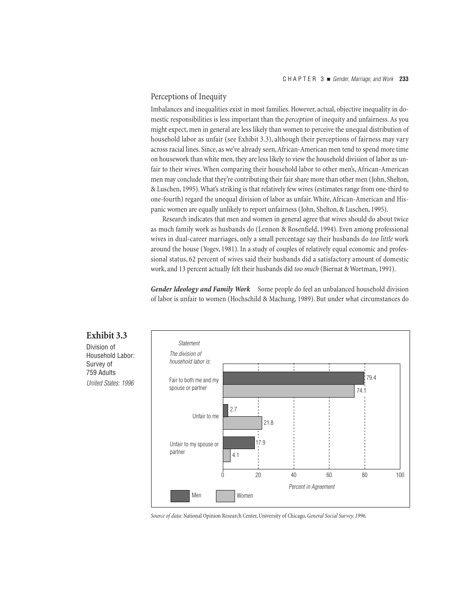# Perceptions of Inequity

Imbalances and inequalities exist in most families. However, actual, objective inequality in domestic responsibilities is less important than the *perception* of inequity and unfairness. As you might expect, men in general are less likely than women to perceive the unequal distribution of household labor as unfair (see Exhibit 3.3), although their perceptions of fairness may vary across racial lines. Since, as we've already seen, African-American men tend to spend more time on housework than white men, they are less likely to view the household division of labor as unfair to their wives. When comparing their household labor to other men's, African-American men may conclude that they're contributing their fair share more than other men (John, Shelton, & Luschen, 1995). What's striking is that relatively few wives (estimates range from one-third to one-fourth) regard the unequal division of labor as unfair. White, African-American and Hispanic women are equally unlikely to report unfairness (John, Shelton, & Luschen, 1995).

Research indicates that men and women in general agree that wives should do about twice as much family work as husbands do (Lennon & Rosenfield, 1994). Even among professional wives in dual-career marriages, only a small percentage say their husbands do *too little* work around the house (Yogev, 1981). In a study of couples of relatively equal economic and professional status, 62 percent of wives said their husbands did a satisfactory amount of domestic work, and 13 percent actually felt their husbands did *too much* (Biernat & Wortman, 1991).

*Gender Ideology and Family Work* Some people do feel an unbalanced household division of labor is unfair to women (Hochschild & Machung, 1989). But under what circumstances do



*Source of data:* National Opinion Research Center, University of Chicago, *General Social Survey, 1996.*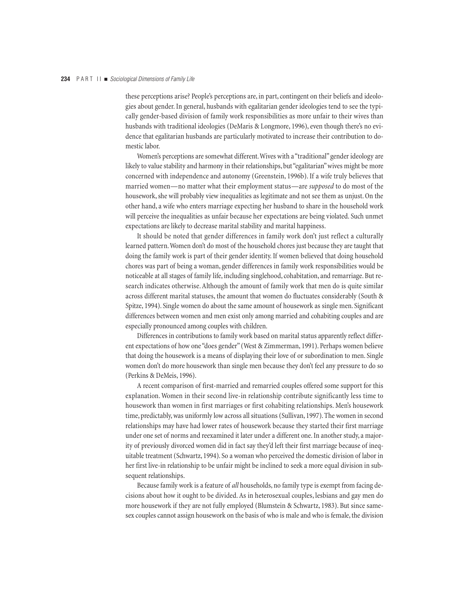these perceptions arise? People's perceptions are, in part, contingent on their beliefs and ideologies about gender. In general, husbands with egalitarian gender ideologies tend to see the typically gender-based division of family work responsibilities as more unfair to their wives than husbands with traditional ideologies (DeMaris & Longmore, 1996), even though there's no evidence that egalitarian husbands are particularly motivated to increase their contribution to domestic labor.

Women's perceptions are somewhat different. Wives with a "traditional" gender ideology are likely to value stability and harmony in their relationships, but "egalitarian" wives might be more concerned with independence and autonomy (Greenstein, 1996b). If a wife truly believes that married women—no matter what their employment status—are *supposed* to do most of the housework, she will probably view inequalities as legitimate and not see them as unjust. On the other hand, a wife who enters marriage expecting her husband to share in the household work will perceive the inequalities as unfair because her expectations are being violated. Such unmet expectations are likely to decrease marital stability and marital happiness.

It should be noted that gender differences in family work don't just reflect a culturally learned pattern. Women don't do most of the household chores just because they are taught that doing the family work is part of their gender identity. If women believed that doing household chores was part of being a woman, gender differences in family work responsibilities would be noticeable at all stages of family life, including singlehood, cohabitation, and remarriage. But research indicates otherwise. Although the amount of family work that men do is quite similar across different marital statuses, the amount that women do fluctuates considerably (South & Spitze, 1994). Single women do about the same amount of housework as single men. Significant differences between women and men exist only among married and cohabiting couples and are especially pronounced among couples with children.

Differences in contributions to family work based on marital status apparently reflect different expectations of how one "does gender" (West & Zimmerman, 1991). Perhaps women believe that doing the housework is a means of displaying their love of or subordination to men. Single women don't do more housework than single men because they don't feel any pressure to do so (Perkins & DeMeis, 1996).

A recent comparison of first-married and remarried couples offered some support for this explanation. Women in their second live-in relationship contribute significantly less time to housework than women in first marriages or first cohabiting relationships. Men's housework time, predictably, was uniformly low across all situations (Sullivan, 1997). The women in second relationships may have had lower rates of housework because they started their first marriage under one set of norms and reexamined it later under a different one. In another study, a majority of previously divorced women did in fact say they'd left their first marriage because of inequitable treatment (Schwartz, 1994). So a woman who perceived the domestic division of labor in her first live-in relationship to be unfair might be inclined to seek a more equal division in subsequent relationships.

Because family work is a feature of *all* households, no family type is exempt from facing decisions about how it ought to be divided. As in heterosexual couples, lesbians and gay men do more housework if they are not fully employed (Blumstein & Schwartz, 1983). But since samesex couples cannot assign housework on the basis of who is male and who is female, the division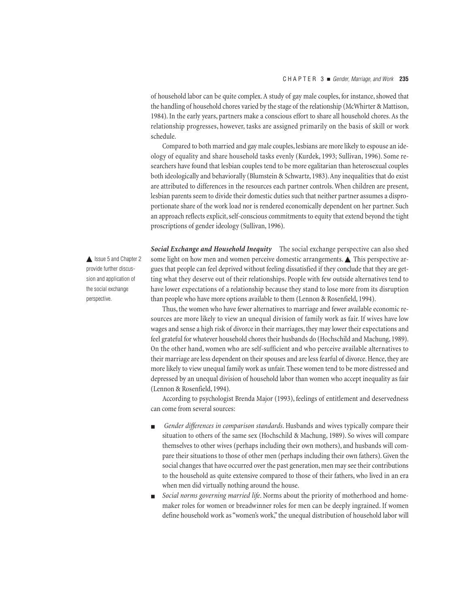of household labor can be quite complex. A study of gay male couples, for instance, showed that the handling of household chores varied by the stage of the relationship (McWhirter & Mattison, 1984). In the early years, partners make a conscious effort to share all household chores. As the relationship progresses, however, tasks are assigned primarily on the basis of skill or work schedule.

Compared to both married and gay male couples, lesbians are more likely to espouse an ideology of equality and share household tasks evenly (Kurdek, 1993; Sullivan, 1996). Some researchers have found that lesbian couples tend to be more egalitarian than heterosexual couples both ideologically and behaviorally (Blumstein & Schwartz, 1983). Any inequalities that do exist are attributed to differences in the resources each partner controls. When children are present, lesbian parents seem to divide their domestic duties such that neither partner assumes a disproportionate share of the work load nor is rendered economically dependent on her partner. Such an approach reflects explicit, self-conscious commitments to equity that extend beyond the tight proscriptions of gender ideology (Sullivan, 1996).

▲ Issue 5 and Chapter 2 provide further discussion and application of the social exchange perspective.

*Social Exchange and Household Inequity* The social exchange perspective can also shed some light on how men and women perceive domestic arrangements.  $\blacktriangle$  This perspective argues that people can feel deprived without feeling dissatisfied if they conclude that they are getting what they deserve out of their relationships. People with few outside alternatives tend to have lower expectations of a relationship because they stand to lose more from its disruption than people who have more options available to them (Lennon & Rosenfield, 1994).

Thus, the women who have fewer alternatives to marriage and fewer available economic resources are more likely to view an unequal division of family work as fair. If wives have low wages and sense a high risk of divorce in their marriages, they may lower their expectations and feel grateful for whatever household chores their husbands do (Hochschild and Machung, 1989). On the other hand, women who are self-sufficient and who perceive available alternatives to their marriage are less dependent on their spouses and are less fearful of divorce. Hence, they are more likely to view unequal family work as unfair. These women tend to be more distressed and depressed by an unequal division of household labor than women who accept inequality as fair (Lennon & Rosenfield, 1994).

According to psychologist Brenda Major (1993), feelings of entitlement and deservedness can come from several sources:

- Gender differences in comparison standards. Husbands and wives typically compare their situation to others of the same sex (Hochschild & Machung, 1989). So wives will compare themselves to other wives (perhaps including their own mothers), and husbands will compare their situations to those of other men (perhaps including their own fathers). Given the social changes that have occurred over the past generation, men may see their contributions to the household as quite extensive compared to those of their fathers, who lived in an era when men did virtually nothing around the house.
- Social norms governing married life. Norms about the priority of motherhood and homemaker roles for women or breadwinner roles for men can be deeply ingrained. If women define household work as "women's work," the unequal distribution of household labor will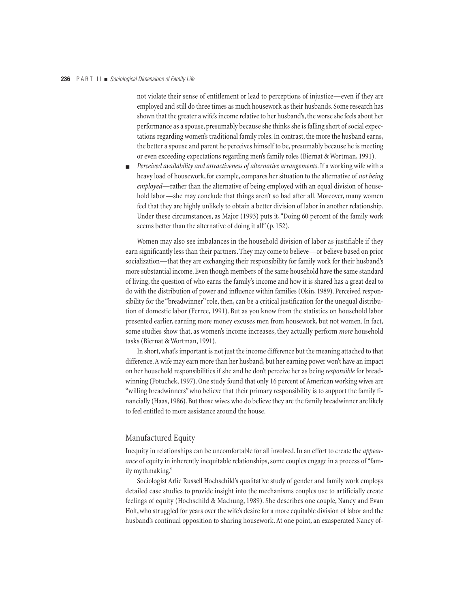not violate their sense of entitlement or lead to perceptions of injustice—even if they are employed and still do three times as much housework as their husbands. Some research has shown that the greater a wife's income relative to her husband's, the worse she feels about her performance as a spouse, presumably because she thinks she is falling short of social expectations regarding women's traditional family roles. In contrast, the more the husband earns, the better a spouse and parent he perceives himself to be, presumably because he is meeting or even exceeding expectations regarding men's family roles (Biernat & Wortman, 1991).

■ *Perceived availability and attractiveness of alternative arrangements*. If a working wife with a heavy load of housework, for example, compares her situation to the alternative of *not being employed*—rather than the alternative of being employed with an equal division of household labor—she may conclude that things aren't so bad after all. Moreover, many women feel that they are highly unlikely to obtain a better division of labor in another relationship. Under these circumstances, as Major (1993) puts it, "Doing 60 percent of the family work seems better than the alternative of doing it all" (p. 152).

Women may also see imbalances in the household division of labor as justifiable if they earn significantly less than their partners. They may come to believe—or believe based on prior socialization—that they are exchanging their responsibility for family work for their husband's more substantial income. Even though members of the same household have the same standard of living, the question of who earns the family's income and how it is shared has a great deal to do with the distribution of power and influence within families (Okin, 1989). Perceived responsibility for the "breadwinner" role, then, can be a critical justification for the unequal distribution of domestic labor (Ferree, 1991). But as you know from the statistics on household labor presented earlier, earning more money excuses men from housework, but not women. In fact, some studies show that, as women's income increases, they actually perform *more* household tasks (Biernat & Wortman, 1991).

In short, what's important is not just the income difference but the meaning attached to that difference. A wife may earn more than her husband, but her earning power won't have an impact on her household responsibilities if she and he don't perceive her as being *responsible* for breadwinning (Potuchek, 1997). One study found that only 16 percent of American working wives are "willing breadwinners" who believe that their primary responsibility is to support the family financially (Haas, 1986). But those wives who do believe they are the family breadwinner are likely to feel entitled to more assistance around the house.

#### Manufactured Equity

Inequity in relationships can be uncomfortable for all involved. In an effort to create the *appearance* of equity in inherently inequitable relationships, some couples engage in a process of "family mythmaking."

Sociologist Arlie Russell Hochschild's qualitative study of gender and family work employs detailed case studies to provide insight into the mechanisms couples use to artificially create feelings of equity (Hochschild & Machung, 1989). She describes one couple, Nancy and Evan Holt, who struggled for years over the wife's desire for a more equitable division of labor and the husband's continual opposition to sharing housework. At one point, an exasperated Nancy of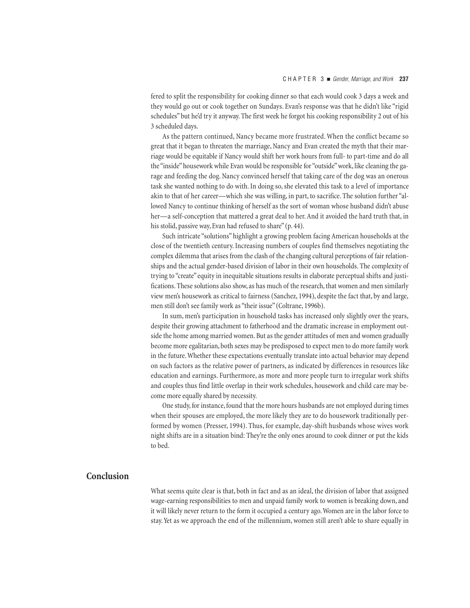fered to split the responsibility for cooking dinner so that each would cook 3 days a week and they would go out or cook together on Sundays. Evan's response was that he didn't like "rigid schedules" but he'd try it anyway. The first week he forgot his cooking responsibility 2 out of his 3 scheduled days.

As the pattern continued, Nancy became more frustrated. When the conflict became so great that it began to threaten the marriage, Nancy and Evan created the myth that their marriage would be equitable if Nancy would shift her work hours from full- to part-time and do all the "inside" housework while Evan would be responsible for "outside" work, like cleaning the garage and feeding the dog. Nancy convinced herself that taking care of the dog was an onerous task she wanted nothing to do with. In doing so, she elevated this task to a level of importance akin to that of her career—which she was willing, in part, to sacrifice. The solution further "allowed Nancy to continue thinking of herself as the sort of woman whose husband didn't abuse her—a self-conception that mattered a great deal to her. And it avoided the hard truth that, in his stolid, passive way, Evan had refused to share" (p. 44).

Such intricate "solutions" highlight a growing problem facing American households at the close of the twentieth century. Increasing numbers of couples find themselves negotiating the complex dilemma that arises from the clash of the changing cultural perceptions of fair relationships and the actual gender-based division of labor in their own households. The complexity of trying to "create" equity in inequitable situations results in elaborate perceptual shifts and justifications. These solutions also show, as has much of the research, that women and men similarly view men's housework as critical to fairness (Sanchez, 1994), despite the fact that, by and large, men still don't see family work as "their issue" (Coltrane, 1996b).

In sum, men's participation in household tasks has increased only slightly over the years, despite their growing attachment to fatherhood and the dramatic increase in employment outside the home among married women. But as the gender attitudes of men and women gradually become more egalitarian, both sexes may be predisposed to expect men to do more family work in the future. Whether these expectations eventually translate into actual behavior may depend on such factors as the relative power of partners, as indicated by differences in resources like education and earnings. Furthermore, as more and more people turn to irregular work shifts and couples thus find little overlap in their work schedules, housework and child care may become more equally shared by necessity.

One study, for instance, found that the more hours husbands are not employed during times when their spouses are employed, the more likely they are to do housework traditionally performed by women (Presser, 1994). Thus, for example, day-shift husbands whose wives work night shifts are in a situation bind: They're the only ones around to cook dinner or put the kids to bed.

# **Conclusion**

What seems quite clear is that, both in fact and as an ideal, the division of labor that assigned wage-earning responsibilities to men and unpaid family work to women is breaking down, and it will likely never return to the form it occupied a century ago. Women are in the labor force to stay. Yet as we approach the end of the millennium, women still aren't able to share equally in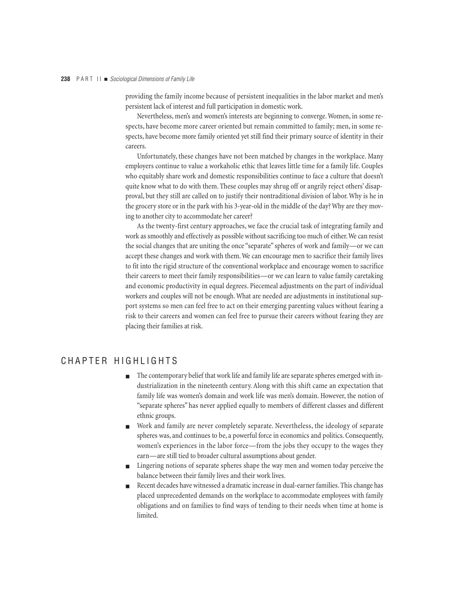providing the family income because of persistent inequalities in the labor market and men's persistent lack of interest and full participation in domestic work.

Nevertheless, men's and women's interests are beginning to converge. Women, in some respects, have become more career oriented but remain committed to family; men, in some respects, have become more family oriented yet still find their primary source of identity in their careers.

Unfortunately, these changes have not been matched by changes in the workplace. Many employers continue to value a workaholic ethic that leaves little time for a family life. Couples who equitably share work and domestic responsibilities continue to face a culture that doesn't quite know what to do with them. These couples may shrug off or angrily reject others' disapproval, but they still are called on to justify their nontraditional division of labor. Why is he in the grocery store or in the park with his 3-year-old in the middle of the day? Why are they moving to another city to accommodate her career?

As the twenty-first century approaches, we face the crucial task of integrating family and work as smoothly and effectively as possible without sacrificing too much of either. We can resist the social changes that are uniting the once "separate" spheres of work and family—or we can accept these changes and work with them. We can encourage men to sacrifice their family lives to fit into the rigid structure of the conventional workplace and encourage women to sacrifice their careers to meet their family responsibilities—or we can learn to value family caretaking and economic productivity in equal degrees. Piecemeal adjustments on the part of individual workers and couples will not be enough. What are needed are adjustments in institutional support systems so men can feel free to act on their emerging parenting values without fearing a risk to their careers and women can feel free to pursue their careers without fearing they are placing their families at risk.

# *CHAPTER HIGHLIGHTS*

- The contemporary belief that work life and family life are separate spheres emerged with industrialization in the nineteenth century. Along with this shift came an expectation that family life was women's domain and work life was men's domain. However, the notion of "separate spheres" has never applied equally to members of different classes and different ethnic groups.
- Work and family are never completely separate. Nevertheless, the ideology of separate spheres was, and continues to be, a powerful force in economics and politics. Consequently, women's experiences in the labor force—from the jobs they occupy to the wages they earn—are still tied to broader cultural assumptions about gender.
- Lingering notions of separate spheres shape the way men and women today perceive the balance between their family lives and their work lives.
- Recent decades have witnessed a dramatic increase in dual-earner families. This change has placed unprecedented demands on the workplace to accommodate employees with family obligations and on families to find ways of tending to their needs when time at home is limited.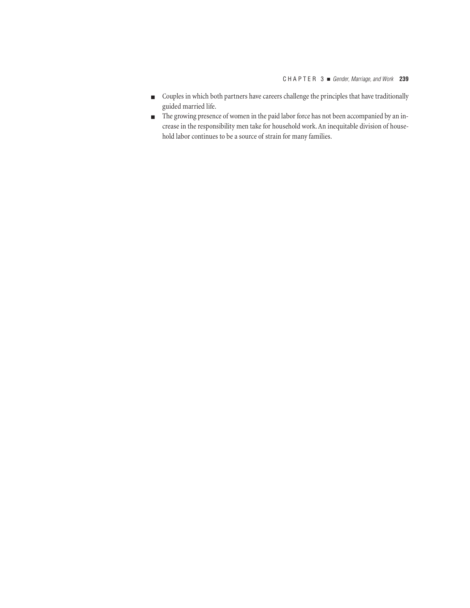- Couples in which both partners have careers challenge the principles that have traditionally guided married life.
- The growing presence of women in the paid labor force has not been accompanied by an increase in the responsibility men take for household work. An inequitable division of household labor continues to be a source of strain for many families.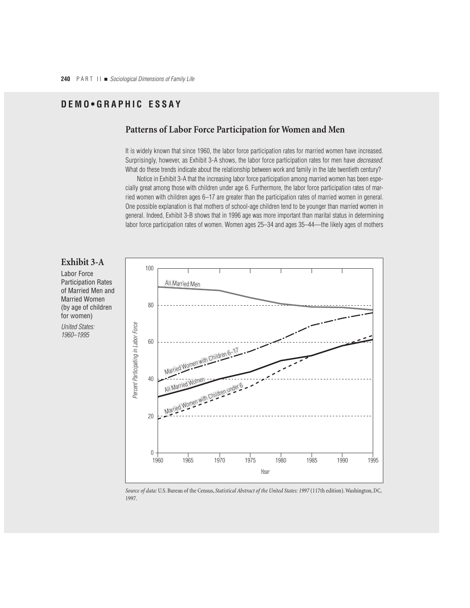# **DEMO•GRAPHIC ESSAY**

# **Patterns of Labor Force Participation for Women and Men**

It is widely known that since 1960, the labor force participation rates for married women have increased. Surprisingly, however, as Exhibit 3-A shows, the labor force participation rates for men have decreased. What do these trends indicate about the relationship between work and family in the late twentieth century?

Notice in Exhibit 3-A that the increasing labor force participation among married women has been especially great among those with children under age 6. Furthermore, the labor force participation rates of married women with children ages 6–17 are greater than the participation rates of married women in general. One possible explanation is that mothers of school-age children tend to be younger than married women in general. Indeed, Exhibit 3-B shows that in 1996 age was more important than marital status in determining labor force participation rates of women. Women ages 25–34 and ages 35–44—the likely ages of mothers



*Source of data:* U.S. Bureau of the Census, *Statistical Abstract of the United States: 1997* (117th edition). Washington, DC, 1997.

**Exhibit 3-A**

*Labor Force Participation Rates of Married Men and Married Women (by age of children*

United States: 1960–1995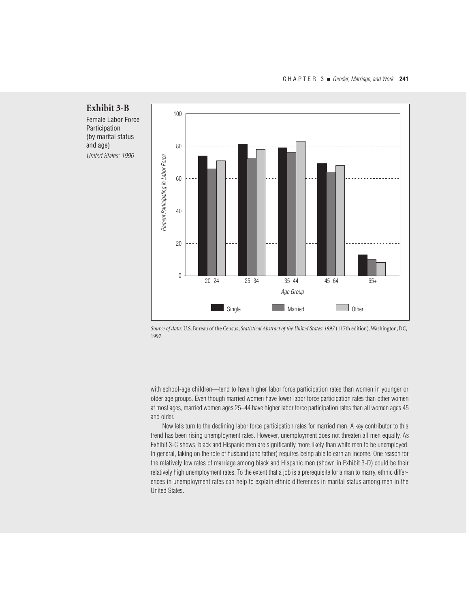

*and age)*

*Source of data:* U.S. Bureau of the Census, *Statistical Abstract of the United States: 1997* (117th edition). Washington, DC, 1997.

with school-age children—tend to have higher labor force participation rates than women in younger or older age groups. Even though married women have lower labor force participation rates than other women at most ages, married women ages 25–44 have higher labor force participation rates than all women ages 45 and older.

Now let's turn to the declining labor force participation rates for married men. A key contributor to this trend has been rising unemployment rates. However, unemployment does not threaten all men equally. As Exhibit 3-C shows, black and Hispanic men are significantly more likely than white men to be unemployed. In general, taking on the role of husband (and father) requires being able to earn an income. One reason for the relatively low rates of marriage among black and Hispanic men (shown in Exhibit 3-D) could be their relatively high unemployment rates. To the extent that a job is a prerequisite for a man to marry, ethnic differences in unemployment rates can help to explain ethnic differences in marital status among men in the United States.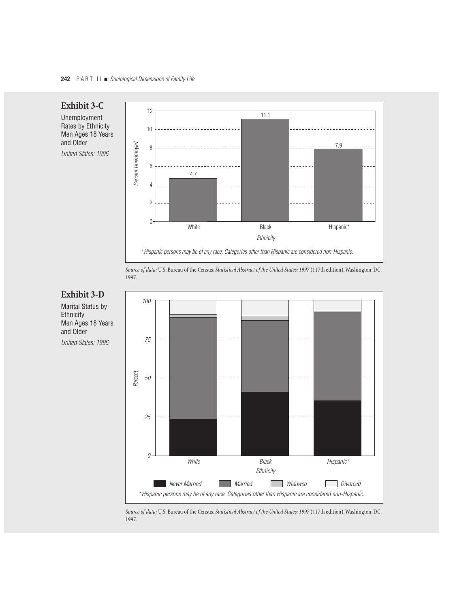

**Exhibit 3-D** *Marital Status by Ethnicity*

*and Older* United States: 1996



*Source of data:* U.S. Bureau of the Census, *Statistical Abstract of the United States: 1997* (117th edition). Washington, DC, 1997.



*Source of data:* U.S. Bureau of the Census, *Statistical Abstract of the United States: 1997* (117th edition). Washington, DC, 1997.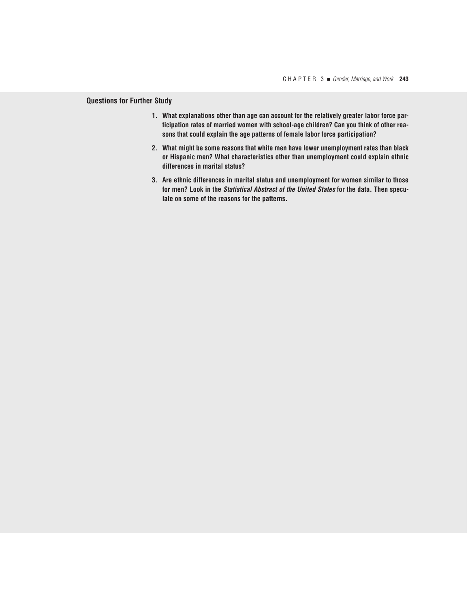## **Questions for Further Study**

- **1. What explanations other than age can account for the relatively greater labor force participation rates of married women with school-age children? Can you think of other reasons that could explain the age patterns of female labor force participation?**
- **2. What might be some reasons that white men have lower unemployment rates than black or Hispanic men? What characteristics other than unemployment could explain ethnic differences in marital status?**
- **3. Are ethnic differences in marital status and unemployment for women similar to those for men? Look in the Statistical Abstract of the United States for the data. Then speculate on some of the reasons for the patterns.**